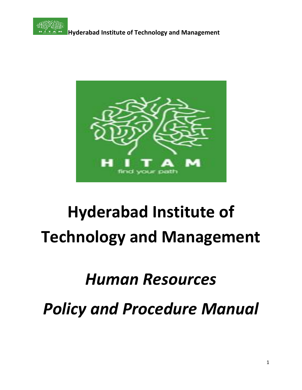



## *Human Resources*

*Policy and Procedure Manual*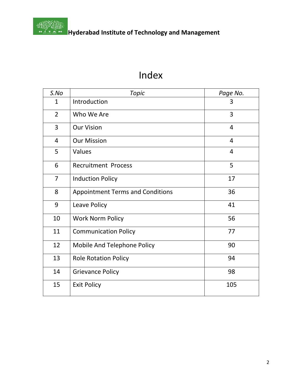

## Index

| S.No           | <b>Topic</b>                            | Page No.       |
|----------------|-----------------------------------------|----------------|
| $\mathbf{1}$   | Introduction                            | 3              |
| $\overline{2}$ | Who We Are                              | 3              |
| 3              | <b>Our Vision</b>                       | $\overline{4}$ |
| $\overline{4}$ | <b>Our Mission</b>                      | $\overline{4}$ |
| 5              | Values                                  | $\overline{4}$ |
| 6              | <b>Recruitment Process</b>              | 5              |
| $\overline{7}$ | <b>Induction Policy</b>                 | 17             |
| 8              | <b>Appointment Terms and Conditions</b> | 36             |
| 9              | Leave Policy                            | 41             |
| 10             | <b>Work Norm Policy</b>                 | 56             |
| 11             | <b>Communication Policy</b>             | 77             |
| 12             | Mobile And Telephone Policy             | 90             |
| 13             | <b>Role Rotation Policy</b>             | 94             |
| 14             | <b>Grievance Policy</b>                 | 98             |
| 15             | <b>Exit Policy</b>                      | 105            |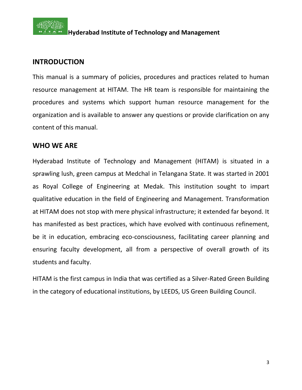

#### **INTRODUCTION**

This manual is a summary of policies, procedures and practices related to human resource management at HITAM. The HR team is responsible for maintaining the procedures and systems which support human resource management for the organization and is available to answer any questions or provide clarification on any content of this manual.

#### **WHO WE ARE**

Hyderabad Institute of Technology and Management (HITAM) is situated in a sprawling lush, green campus at Medchal in Telangana State. It was started in 2001 as Royal College of Engineering at Medak. This institution sought to impart qualitative education in the field of Engineering and Management. Transformation at HITAM does not stop with mere physical infrastructure; it extended far beyond. It has manifested as best practices, which have evolved with continuous refinement, be it in education, embracing eco-consciousness, facilitating career planning and ensuring faculty development, all from a perspective of overall growth of its students and faculty.

HITAM is the first campus in India that was certified as a Silver-Rated Green Building in the category of educational institutions, by LEEDS, US Green Building Council.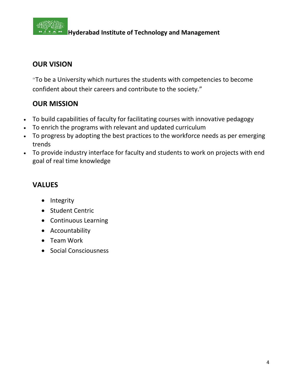

## **OUR VISION**

**"**To be a University which nurtures the students with competencies to become confident about their careers and contribute to the society."

## **OUR MISSION**

- To build capabilities of faculty for facilitating courses with innovative pedagogy
- To enrich the programs with relevant and updated curriculum
- To progress by adopting the best practices to the workforce needs as per emerging trends
- To provide industry interface for faculty and students to work on projects with end goal of real time knowledge

## **VALUES**

- Integrity
- Student Centric
- Continuous Learning
- Accountability
- Team Work
- Social Consciousness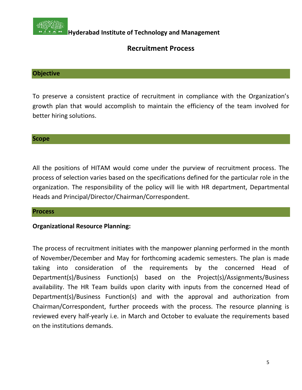

#### **Recruitment Process**

#### **Objective**

To preserve a consistent practice of recruitment in compliance with the Organization's growth plan that would accomplish to maintain the efficiency of the team involved for better hiring solutions.

#### **Scope**

All the positions of HITAM would come under the purview of recruitment process. The process of selection varies based on the specifications defined for the particular role in the organization. The responsibility of the policy will lie with HR department, Departmental Heads and Principal/Director/Chairman/Correspondent.

#### **Process**

#### **Organizational Resource Planning:**

The process of recruitment initiates with the manpower planning performed in the month of November/December and May for forthcoming academic semesters. The plan is made taking into consideration of the requirements by the concerned Head of Department(s)/Business Function(s) based on the Project(s)/Assignments/Business availability. The HR Team builds upon clarity with inputs from the concerned Head of Department(s)/Business Function(s) and with the approval and authorization from Chairman/Correspondent, further proceeds with the process. The resource planning is reviewed every half-yearly i.e. in March and October to evaluate the requirements based on the institutions demands.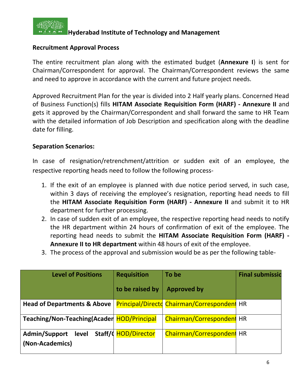

#### **Recruitment Approval Process**

The entire recruitment plan along with the estimated budget (**Annexure I**) is sent for Chairman/Correspondent for approval. The Chairman/Correspondent reviews the same and need to approve in accordance with the current and future project needs.

Approved Recruitment Plan for the year is divided into 2 Half yearly plans. Concerned Head of Business Function(s) fills **HITAM Associate Requisition Form (HARF) - Annexure II** and gets it approved by the Chairman/Correspondent and shall forward the same to HR Team with the detailed information of Job Description and specification along with the deadline date for filling.

#### **Separation Scenarios:**

In case of resignation/retrenchment/attrition or sudden exit of an employee, the respective reporting heads need to follow the following process-

- 1. If the exit of an employee is planned with due notice period served, in such case, within 3 days of receiving the employee's resignation, reporting head needs to fill the **HITAM Associate Requisition Form (HARF) - Annexure II** and submit it to HR department for further processing.
- 2. In case of sudden exit of an employee, the respective reporting head needs to notify the HR department within 24 hours of confirmation of exit of the employee. The reporting head needs to submit the **HITAM Associate Requisition Form (HARF) - Annexure II to HR department** within 48 hours of exit of the employee.
- 3. The process of the approval and submission would be as per the following table-

| <b>Level of Positions</b>                  | <b>Requisition</b>   | To be                                       | <b>Final submissid</b> |
|--------------------------------------------|----------------------|---------------------------------------------|------------------------|
|                                            | to be raised by      | <b>Approved by</b>                          |                        |
| <b>Head of Departments &amp; Above</b>     |                      | Principal/Directd Chairman/Correspondent HR |                        |
|                                            |                      |                                             |                        |
| Teaching/Non-Teaching(Acader HOD/Principal |                      | <b>Chairman/Correspondent HR</b>            |                        |
| Admin/Support<br>level                     | Staff/d HOD/Director | Chairman/Correspondent HR                   |                        |
| (Non-Academics)                            |                      |                                             |                        |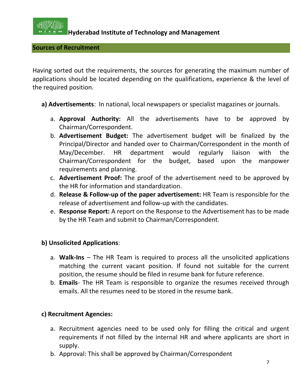

**Sources of Recruitment**

Having sorted out the requirements, the sources for generating the maximum number of applications should be located depending on the qualifications, experience & the level of the required position.

- **a) Advertisements**: In national, local newspapers or specialist magazines or journals.
	- a. **Approval Authority:** All the advertisements have to be approved by Chairman/Correspondent.
	- b. **Advertisement Budget:** The advertisement budget will be finalized by the Principal/Director and handed over to Chairman/Correspondent in the month of May/December. HR department would regularly liaison with the Chairman/Correspondent for the budget, based upon the manpower requirements and planning.
	- c. **Advertisement Proof:** The proof of the advertisement need to be approved by the HR for information and standardization.
	- d. **Release & Follow-up of the paper advertisement:** HR Team is responsible for the release of advertisement and follow-up with the candidates.
	- e. **Response Report:** A report on the Response to the Advertisement has to be made by the HR Team and submit to Chairman/Correspondent.

#### **b) Unsolicited Applications**:

- a. **Walk-Ins** The HR Team is required to process all the unsolicited applications matching the current vacant position. If found not suitable for the current position, the resume should be filed in resume bank for future reference.
- b. **Emails** The HR Team is responsible to organize the resumes received through emails. All the resumes need to be stored in the resume bank.

#### **c) Recruitment Agencies:**

- a. Recruitment agencies need to be used only for filling the critical and urgent requirements if not filled by the internal HR and where applicants are short in supply.
- b. Approval: This shall be approved by Chairman/Correspondent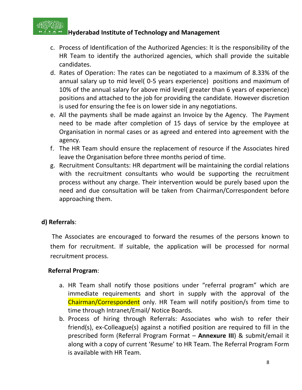

- c. Process of Identification of the Authorized Agencies: It is the responsibility of the HR Team to identify the authorized agencies, which shall provide the suitable candidates.
- d. Rates of Operation: The rates can be negotiated to a maximum of 8.33% of the annual salary up to mid level( 0-5 years experience) positions and maximum of 10% of the annual salary for above mid level( greater than 6 years of experience) positions and attached to the job for providing the candidate. However discretion is used for ensuring the fee is on lower side in any negotiations.
- e. All the payments shall be made against an Invoice by the Agency. The Payment need to be made after completion of 15 days of service by the employee at Organisation in normal cases or as agreed and entered into agreement with the agency.
- f. The HR Team should ensure the replacement of resource if the Associates hired leave the Organisation before three months period of time.
- g. Recruitment Consultants: HR department will be maintaining the cordial relations with the recruitment consultants who would be supporting the recruitment process without any charge. Their intervention would be purely based upon the need and due consultation will be taken from Chairman/Correspondent before approaching them.

#### **d) Referrals**:

The Associates are encouraged to forward the resumes of the persons known to them for recruitment. If suitable, the application will be processed for normal recruitment process.

#### **Referral Program**:

- a. HR Team shall notify those positions under "referral program" which are immediate requirements and short in supply with the approval of the Chairman/Correspondent only. HR Team will notify position/s from time to time through Intranet/Email/ Notice Boards.
- b. Process of hiring through Referrals: Associates who wish to refer their friend(s), ex-Colleague(s) against a notified position are required to fill in the prescribed form (Referral Program Format – **Annexure III**) & submit/email it along with a copy of current 'Resume' to HR Team. The Referral Program Form is available with HR Team.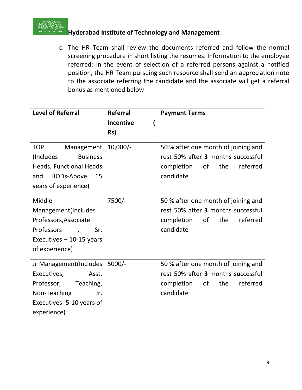

c. The HR Team shall review the documents referred and follow the normal screening procedure in short listing the resumes. Information to the employee referred: In the event of selection of a referred persons against a notified position, the HR Team pursuing such resource shall send an appreciation note to the associate referring the candidate and the associate will get a referral bonus as mentioned below

| <b>Level of Referral</b>                                  | <b>Referral</b>  | <b>Payment Terms</b>                                                      |
|-----------------------------------------------------------|------------------|---------------------------------------------------------------------------|
|                                                           | <b>Incentive</b> |                                                                           |
|                                                           | Rs)              |                                                                           |
| Management<br><b>TOP</b><br><b>Business</b><br>(Includes) | $10,000/-$       | 50 % after one month of joining and<br>rest 50% after 3 months successful |
| <b>Heads, Functional Heads</b>                            |                  | completion of<br>the referred                                             |
| and HODs-Above<br>15                                      |                  | candidate                                                                 |
| years of experience)                                      |                  |                                                                           |
| Middle                                                    | 7500/-           | 50 % after one month of joining and                                       |
| Management(Includes                                       |                  | rest 50% after 3 months successful                                        |
| Professors, Associate                                     |                  | completion<br>of<br>the<br>referred                                       |
| Professors<br>Sr.<br>$\overline{a}$                       |                  | candidate                                                                 |
| Executives $-10-15$ years                                 |                  |                                                                           |
| of experience)                                            |                  |                                                                           |
| Jr Management(Includes   5000/-                           |                  | 50 % after one month of joining and                                       |
| Executives,<br>Asst.                                      |                  | rest 50% after 3 months successful                                        |
| Professor, Teaching,                                      |                  | completion of<br>the<br>referred                                          |
| Non-Teaching<br>Jr.                                       |                  | candidate                                                                 |
| Executives-5-10 years of                                  |                  |                                                                           |
| experience)                                               |                  |                                                                           |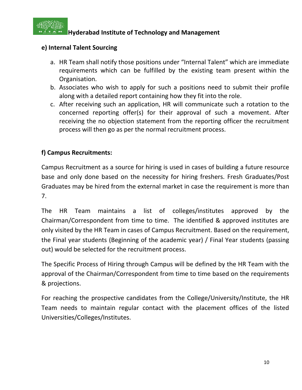

#### **e) Internal Talent Sourcing**

- a. HR Team shall notify those positions under "Internal Talent" which are immediate requirements which can be fulfilled by the existing team present within the Organisation.
- b. Associates who wish to apply for such a positions need to submit their profile along with a detailed report containing how they fit into the role.
- c. After receiving such an application, HR will communicate such a rotation to the concerned reporting offer(s) for their approval of such a movement. After receiving the no objection statement from the reporting officer the recruitment process will then go as per the normal recruitment process.

#### **f) Campus Recruitments:**

Campus Recruitment as a source for hiring is used in cases of building a future resource base and only done based on the necessity for hiring freshers. Fresh Graduates/Post Graduates may be hired from the external market in case the requirement is more than 7.

The HR Team maintains a list of colleges/institutes approved by the Chairman/Correspondent from time to time. The identified & approved institutes are only visited by the HR Team in cases of Campus Recruitment. Based on the requirement, the Final year students (Beginning of the academic year) / Final Year students (passing out) would be selected for the recruitment process.

The Specific Process of Hiring through Campus will be defined by the HR Team with the approval of the Chairman/Correspondent from time to time based on the requirements & projections.

For reaching the prospective candidates from the College/University/Institute, the HR Team needs to maintain regular contact with the placement offices of the listed Universities/Colleges/Institutes.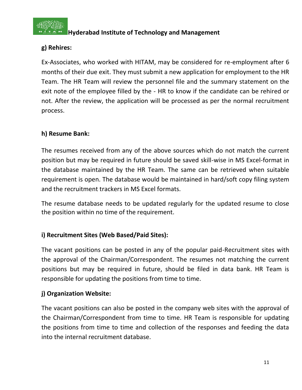

### **g) Rehires:**

Ex-Associates, who worked with HITAM, may be considered for re-employment after 6 months of their due exit. They must submit a new application for employment to the HR Team. The HR Team will review the personnel file and the summary statement on the exit note of the employee filled by the - HR to know if the candidate can be rehired or not. After the review, the application will be processed as per the normal recruitment process.

#### **h) Resume Bank:**

The resumes received from any of the above sources which do not match the current position but may be required in future should be saved skill-wise in MS Excel-format in the database maintained by the HR Team. The same can be retrieved when suitable requirement is open. The database would be maintained in hard/soft copy filing system and the recruitment trackers in MS Excel formats.

The resume database needs to be updated regularly for the updated resume to close the position within no time of the requirement.

#### **i) Recruitment Sites (Web Based/Paid Sites):**

The vacant positions can be posted in any of the popular paid-Recruitment sites with the approval of the Chairman/Correspondent. The resumes not matching the current positions but may be required in future, should be filed in data bank. HR Team is responsible for updating the positions from time to time.

#### **j) Organization Website:**

The vacant positions can also be posted in the company web sites with the approval of the Chairman/Correspondent from time to time. HR Team is responsible for updating the positions from time to time and collection of the responses and feeding the data into the internal recruitment database.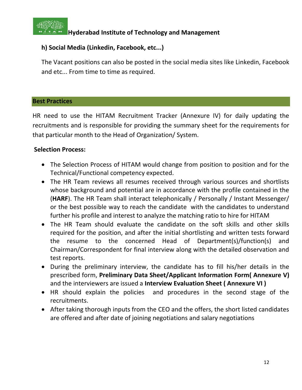

#### **h) Social Media (Linkedin, Facebook, etc...)**

The Vacant positions can also be posted in the social media sites like Linkedin, Facebook and etc... From time to time as required.

#### **Best Practices**

HR need to use the HITAM Recruitment Tracker (Annexure IV) for daily updating the recruitments and is responsible for providing the summary sheet for the requirements for that particular month to the Head of Organization/ System.

#### **Selection Process:**

- The Selection Process of HITAM would change from position to position and for the Technical/Functional competency expected.
- The HR Team reviews all resumes received through various sources and shortlists whose background and potential are in accordance with the profile contained in the (**HARF**). The HR Team shall interact telephonically / Personally / Instant Messenger/ or the best possible way to reach the candidate with the candidates to understand further his profile and interest to analyze the matching ratio to hire for HITAM
- The HR Team should evaluate the candidate on the soft skills and other skills required for the position, and after the initial shortlisting and written tests forward the resume to the concerned Head of Department(s)/function(s) and Chairman/Correspondent for final interview along with the detailed observation and test reports.
- During the preliminary interview, the candidate has to fill his/her details in the prescribed form, **Preliminary Data Sheet/Applicant Information Form( Annexure V)**  and the interviewers are issued a **Interview Evaluation Sheet ( Annexure VI )**
- HR should explain the policies and procedures in the second stage of the recruitments.
- After taking thorough inputs from the CEO and the offers, the short listed candidates are offered and after date of joining negotiations and salary negotiations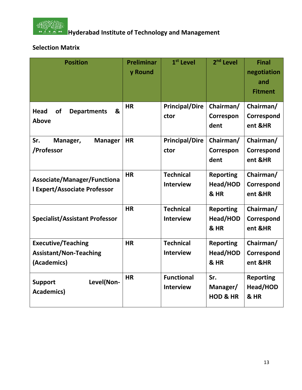

### **Selection Matrix**

| <b>Position</b>                                                           | <b>Preliminar</b><br>y Round | 1 <sup>st</sup> Level                 | 2 <sup>nd</sup> Level                  | <b>Final</b><br>negotiation<br>and<br><b>Fitment</b> |
|---------------------------------------------------------------------------|------------------------------|---------------------------------------|----------------------------------------|------------------------------------------------------|
| &<br><b>Head</b><br><b>of</b><br><b>Departments</b><br><b>Above</b>       | <b>HR</b>                    | <b>Principal/Dire</b><br>ctor         | Chairman/<br>Correspon<br>dent         | Chairman/<br>Correspond<br>ent &HR                   |
| Sr.<br><b>Manager</b><br>Manager,<br>/Professor                           | <b>HR</b>                    | <b>Principal/Dire</b><br>ctor         | Chairman/<br>Correspon<br>dent         | Chairman/<br>Correspond<br>ent &HR                   |
| Associate/Manager/Functiona<br><b>I Expert/Associate Professor</b>        | <b>HR</b>                    | <b>Technical</b><br><b>Interview</b>  | <b>Reporting</b><br>Head/HOD<br>& HR   | Chairman/<br>Correspond<br>ent &HR                   |
| <b>Specialist/Assistant Professor</b>                                     | <b>HR</b>                    | <b>Technical</b><br><b>Interview</b>  | <b>Reporting</b><br>Head/HOD<br>& HR   | Chairman/<br>Correspond<br>ent &HR                   |
| <b>Executive/Teaching</b><br><b>Assistant/Non-Teaching</b><br>(Academics) | <b>HR</b>                    | <b>Technical</b><br><b>Interview</b>  | <b>Reporting</b><br>Head/HOD<br>& HR   | Chairman/<br>Correspond<br>ent &HR                   |
| Level(Non-<br><b>Support</b><br><b>Academics)</b>                         | <b>HR</b>                    | <b>Functional</b><br><b>Interview</b> | Sr.<br>Manager/<br><b>HOD &amp; HR</b> | <b>Reporting</b><br>Head/HOD<br>& HR                 |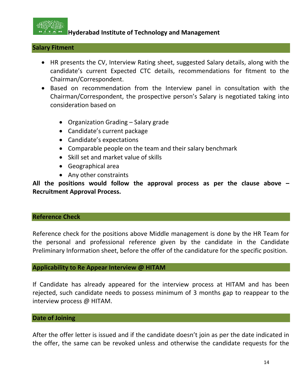

#### **Salary Fitment**

- HR presents the CV, Interview Rating sheet, suggested Salary details, along with the candidate's current Expected CTC details, recommendations for fitment to the Chairman/Correspondent.
- Based on recommendation from the Interview panel in consultation with the Chairman/Correspondent, the prospective person's Salary is negotiated taking into consideration based on
	- Organization Grading Salary grade
	- Candidate's current package
	- Candidate's expectations
	- Comparable people on the team and their salary benchmark
	- Skill set and market value of skills
	- Geographical area
	- Any other constraints

**All the positions would follow the approval process as per the clause above – Recruitment Approval Process.**

#### **Reference Check**

Reference check for the positions above Middle management is done by the HR Team for the personal and professional reference given by the candidate in the Candidate Preliminary Information sheet, before the offer of the candidature for the specific position.

#### **Applicability to Re Appear Interview @ HITAM**

If Candidate has already appeared for the interview process at HITAM and has been rejected, such candidate needs to possess minimum of 3 months gap to reappear to the interview process @ HITAM.

#### **Date of Joining**

After the offer letter is issued and if the candidate doesn't join as per the date indicated in the offer, the same can be revoked unless and otherwise the candidate requests for the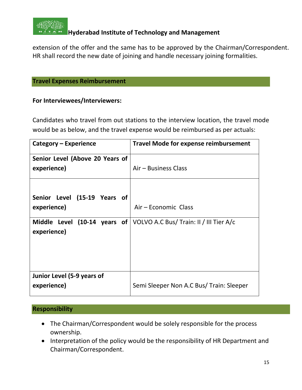

extension of the offer and the same has to be approved by the Chairman/Correspondent. HR shall record the new date of joining and handle necessary joining formalities.

#### **Travel Expenses Reimbursement**

#### **For Interviewees/Interviewers:**

Candidates who travel from out stations to the interview location, the travel mode would be as below, and the travel expense would be reimbursed as per actuals:

| Category – Experience                       | <b>Travel Mode for expense reimbursement</b> |
|---------------------------------------------|----------------------------------------------|
| Senior Level (Above 20 Years of             |                                              |
| experience)                                 | Air – Business Class                         |
|                                             |                                              |
| Senior Level (15-19 Years of                |                                              |
| experience)                                 | Air - Economic Class                         |
| Middle Level (10-14 years of<br>experience) | VOLVO A.C Bus/ Train: II / III Tier A/c      |
| Junior Level (5-9 years of<br>experience)   | Semi Sleeper Non A.C Bus/ Train: Sleeper     |

#### **Responsibility**

- The Chairman/Correspondent would be solely responsible for the process ownership.
- Interpretation of the policy would be the responsibility of HR Department and Chairman/Correspondent.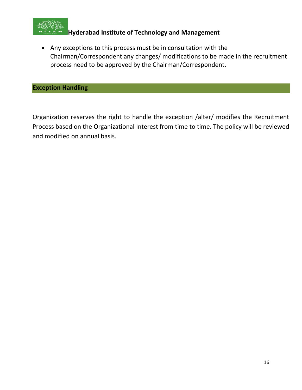

• Any exceptions to this process must be in consultation with the Chairman/Correspondent any changes/ modifications to be made in the recruitment process need to be approved by the Chairman/Correspondent.

**Exception Handling**

Organization reserves the right to handle the exception /alter/ modifies the Recruitment Process based on the Organizational Interest from time to time. The policy will be reviewed and modified on annual basis.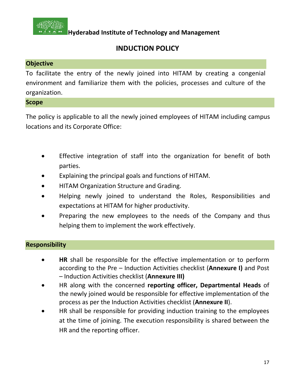

### **INDUCTION POLICY**

#### **Objective**

To facilitate the entry of the newly joined into HITAM by creating a congenial environment and familiarize them with the policies, processes and culture of the organization.

#### **Scope**

The policy is applicable to all the newly joined employees of HITAM including campus locations and its Corporate Office:

- Effective integration of staff into the organization for benefit of both parties.
- Explaining the principal goals and functions of HITAM.
- HITAM Organization Structure and Grading.
- Helping newly joined to understand the Roles, Responsibilities and expectations at HITAM for higher productivity.
- Preparing the new employees to the needs of the Company and thus helping them to implement the work effectively.

#### **Responsibility**

- **HR** shall be responsible for the effective implementation or to perform according to the Pre – Induction Activities checklist (**Annexure I)** and Post – Induction Activities checklist (**Annexure III)**
- HR along with the concerned **reporting officer, Departmental Heads** of the newly joined would be responsible for effective implementation of the process as per the Induction Activities checklist (**Annexure II**).
- HR shall be responsible for providing induction training to the employees at the time of joining. The execution responsibility is shared between the HR and the reporting officer.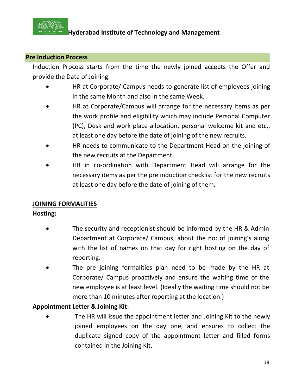

#### **Pre Induction Process**

Induction Process starts from the time the newly joined accepts the Offer and provide the Date of Joining.

- HR at Corporate/ Campus needs to generate list of employees joining in the same Month and also in the same Week.
- HR at Corporate/Campus will arrange for the necessary items as per the work profile and eligibility which may include Personal Computer (PC), Desk and work place allocation, personal welcome kit and etc., at least one day before the date of joining of the new recruits.
- HR needs to communicate to the Department Head on the joining of the new recruits at the Department.
- HR in co-ordination with Department Head will arrange for the necessary items as per the pre induction checklist for the new recruits at least one day before the date of joining of them.

#### **JOINING FORMALITIES**

#### **Hosting:**

- The security and receptionist should be informed by the HR & Admin Department at Corporate/ Campus, about the no: of joining's along with the list of names on that day for right hosting on the day of reporting.
- The pre joining formalities plan need to be made by the HR at Corporate/ Campus proactively and ensure the waiting time of the new employee is at least level. (Ideally the waiting time should not be more than 10 minutes after reporting at the location.)

#### **Appointment Letter & Joining Kit:**

The HR will issue the appointment letter and Joining Kit to the newly joined employees on the day one, and ensures to collect the duplicate signed copy of the appointment letter and filled forms contained in the Joining Kit.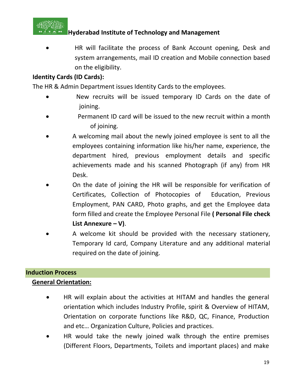

• HR will facilitate the process of Bank Account opening, Desk and system arrangements, mail ID creation and Mobile connection based on the eligibility.

#### **Identity Cards (ID Cards):**

The HR & Admin Department issues Identity Cards to the employees.

- New recruits will be issued temporary ID Cards on the date of joining.
- Permanent ID card will be issued to the new recruit within a month of joining.
- A welcoming mail about the newly joined employee is sent to all the employees containing information like his/her name, experience, the department hired, previous employment details and specific achievements made and his scanned Photograph (if any) from HR Desk.
- On the date of joining the HR will be responsible for verification of Certificates, Collection of Photocopies of Education, Previous Employment, PAN CARD, Photo graphs, and get the Employee data form filled and create the Employee Personal File **( Personal File check List Annexure – V)**.
- A welcome kit should be provided with the necessary stationery, Temporary Id card, Company Literature and any additional material required on the date of joining.

#### **Induction Process**

#### **General Orientation:**

- HR will explain about the activities at HITAM and handles the general orientation which includes Industry Profile, spirit & Overview of HITAM, Orientation on corporate functions like R&D, QC, Finance, Production and etc… Organization Culture, Policies and practices.
- HR would take the newly joined walk through the entire premises (Different Floors, Departments, Toilets and important places) and make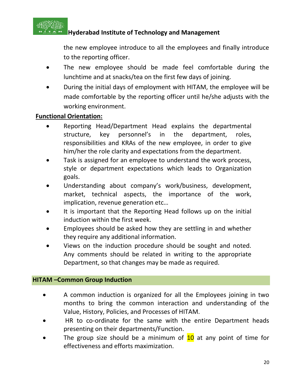

the new employee introduce to all the employees and finally introduce to the reporting officer.

- The new employee should be made feel comfortable during the lunchtime and at snacks/tea on the first few days of joining.
- During the initial days of employment with HITAM, the employee will be made comfortable by the reporting officer until he/she adjusts with the working environment.

#### **Functional Orientation:**

- Reporting Head/Department Head explains the departmental structure, key personnel's in the department, roles, responsibilities and KRAs of the new employee, in order to give him/her the role clarity and expectations from the department.
- Task is assigned for an employee to understand the work process, style or department expectations which leads to Organization goals.
- Understanding about company's work/business, development, market, technical aspects, the importance of the work, implication, revenue generation etc…
- It is important that the Reporting Head follows up on the initial induction within the first week.
- Employees should be asked how they are settling in and whether they require any additional information.
- Views on the induction procedure should be sought and noted. Any comments should be related in writing to the appropriate Department, so that changes may be made as required.

#### **HITAM –Common Group Induction**

- A common induction is organized for all the Employees joining in two months to bring the common interaction and understanding of the Value, History, Policies, and Processes of HITAM.
- HR to co-ordinate for the same with the entire Department heads presenting on their departments/Function.
- The group size should be a minimum of  $10$  at any point of time for effectiveness and efforts maximization.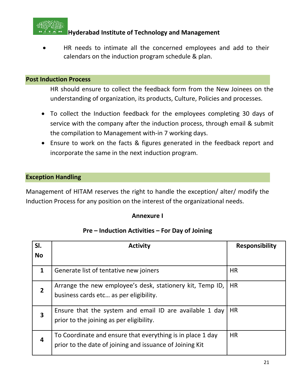

• HR needs to intimate all the concerned employees and add to their calendars on the induction program schedule & plan.

#### **Post Induction Process**

HR should ensure to collect the feedback form from the New Joinees on the understanding of organization, its products, Culture, Policies and processes.

- To collect the Induction feedback for the employees completing 30 days of service with the company after the induction process, through email & submit the compilation to Management with-in 7 working days.
- Ensure to work on the facts & figures generated in the feedback report and incorporate the same in the next induction program.

#### **Exception Handling**

Management of HITAM reserves the right to handle the exception/ alter/ modify the Induction Process for any position on the interest of the organizational needs.

#### **Annexure I**

#### **Pre – Induction Activities – For Day of Joining**

| SI.                     | <b>Activity</b>                                                                                                        | Responsibility |
|-------------------------|------------------------------------------------------------------------------------------------------------------------|----------------|
| <b>No</b>               |                                                                                                                        |                |
| $\mathbf{1}$            | Generate list of tentative new joiners                                                                                 | <b>HR</b>      |
| $\mathbf 2$             | Arrange the new employee's desk, stationery kit, Temp ID,<br>business cards etc as per eligibility.                    | <b>HR</b>      |
| $\overline{\mathbf{3}}$ | Ensure that the system and email ID are available 1 day<br>prior to the joining as per eligibility.                    | <b>HR</b>      |
| $\overline{a}$          | To Coordinate and ensure that everything is in place 1 day<br>prior to the date of joining and issuance of Joining Kit | <b>HR</b>      |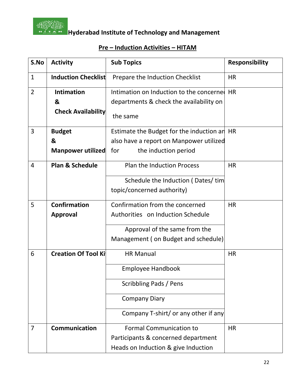

## **Hoston Reports**<br>The Management Hyderabad Institute of Technology and Management

### **Pre – Induction Activities – HITAM**

| S.No           | <b>Activity</b>             | <b>Sub Topics</b>                        | <b>Responsibility</b> |
|----------------|-----------------------------|------------------------------------------|-----------------------|
| $\mathbf{1}$   | <b>Induction Checklist</b>  | Prepare the Induction Checklist          | <b>HR</b>             |
| $\overline{2}$ | <b>Intimation</b>           | Intimation on Induction to the concerned | <b>HR</b>             |
|                | &                           | departments & check the availability on  |                       |
|                | <b>Check Availability</b>   | the same                                 |                       |
| 3              | <b>Budget</b>               | Estimate the Budget for the induction an | <b>HR</b>             |
|                | &                           | also have a report on Manpower utilized  |                       |
|                | Manpower utilized           | for<br>the induction period              |                       |
| 4              | <b>Plan &amp; Schedule</b>  | <b>Plan the Induction Process</b>        | <b>HR</b>             |
|                |                             | Schedule the Induction (Dates/tim        |                       |
|                |                             | topic/concerned authority)               |                       |
| 5              | <b>Confirmation</b>         | Confirmation from the concerned          | <b>HR</b>             |
|                | <b>Approval</b>             | Authorities on Induction Schedule        |                       |
|                |                             | Approval of the same from the            |                       |
|                |                             | Management (on Budget and schedule)      |                       |
| 6              | <b>Creation Of Tool Kit</b> | <b>HR Manual</b>                         | <b>HR</b>             |
|                |                             | <b>Employee Handbook</b>                 |                       |
|                |                             | Scribbling Pads / Pens                   |                       |
|                |                             | <b>Company Diary</b>                     |                       |
|                |                             | Company T-shirt/ or any other if any     |                       |
| $\overline{7}$ | <b>Communication</b>        | <b>Formal Communication to</b>           | <b>HR</b>             |
|                |                             | Participants & concerned department      |                       |
|                |                             | Heads on Induction & give Induction      |                       |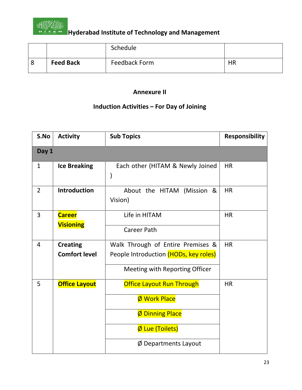

|                  | Schedule      |    |
|------------------|---------------|----|
| <b>Feed Back</b> | Feedback Form | HR |

#### **Annexure II**

### **Induction Activities – For Day of Joining**

| S.No           | <b>Activity</b>                         | <b>Sub Topics</b>                                                                                                               | <b>Responsibility</b> |
|----------------|-----------------------------------------|---------------------------------------------------------------------------------------------------------------------------------|-----------------------|
| Day 1          |                                         |                                                                                                                                 |                       |
| 1              | <b>Ice Breaking</b>                     | Each other (HITAM & Newly Joined                                                                                                | <b>HR</b>             |
| $\overline{2}$ | <b>Introduction</b>                     | About the HITAM (Mission &<br>Vision)                                                                                           | <b>HR</b>             |
| 3              | <b>Career</b><br><b>Visioning</b>       | Life in HITAM<br>Career Path                                                                                                    | <b>HR</b>             |
| 4              | <b>Creating</b><br><b>Comfort level</b> | Walk Through of Entire Premises &<br>People Introduction (HODs, key roles)<br>Meeting with Reporting Officer                    | <b>HR</b>             |
| 5              | <b>Office Layout</b>                    | <b>Office Layout Run Through</b><br>Ø Work Place<br><b>Ø Dinning Place</b><br>Ø Lue (Toilets)<br>$\emptyset$ Departments Layout | <b>HR</b>             |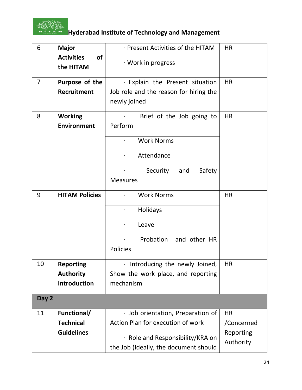

## **Hoston Reports**<br>**Hyderabad Institute of Technology and Management**

| 6              | <b>Major</b><br><b>Activities</b><br>of | · Present Activities of the HITAM      | <b>HR</b>  |
|----------------|-----------------------------------------|----------------------------------------|------------|
|                | the HITAM                               | · Work in progress                     |            |
| $\overline{7}$ | Purpose of the                          | · Explain the Present situation        | <b>HR</b>  |
|                | <b>Recruitment</b>                      | Job role and the reason for hiring the |            |
|                |                                         | newly joined                           |            |
| 8              | <b>Working</b>                          | Brief of the Job going to              | <b>HR</b>  |
|                | <b>Environment</b>                      | Perform                                |            |
|                |                                         | <b>Work Norms</b>                      |            |
|                |                                         | Attendance                             |            |
|                |                                         | Security<br>Safety<br>and              |            |
|                |                                         | <b>Measures</b>                        |            |
| 9              | <b>HITAM Policies</b>                   | <b>Work Norms</b>                      | <b>HR</b>  |
|                |                                         | Holidays<br>$\bullet$                  |            |
|                |                                         | Leave<br>$\bullet$                     |            |
|                |                                         | Probation<br>and other HR<br>$\bullet$ |            |
|                |                                         | Policies                               |            |
| 10             | <b>Reporting</b>                        | · Introducing the newly Joined,        | <b>HR</b>  |
|                | <b>Authority</b>                        | Show the work place, and reporting     |            |
|                | <b>Introduction</b>                     | mechanism                              |            |
| Day 2          |                                         |                                        |            |
| 11             | Functional/                             | · Job orientation, Preparation of      | <b>HR</b>  |
|                | <b>Technical</b>                        | Action Plan for execution of work      | /Concerned |
|                | <b>Guidelines</b>                       |                                        | Reporting  |
|                |                                         | · Role and Responsibility/KRA on       | Authority  |
|                |                                         | the Job (Ideally, the document should  |            |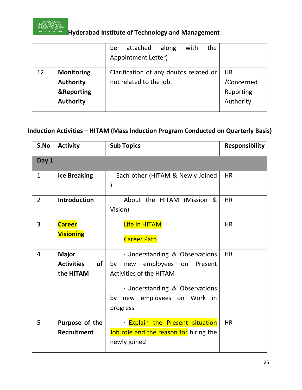

## **Hostin Englishers**<br>**Hyderabad Institute of Technology and Management**

|    |                                                                                    | the<br>attached<br>with<br>along<br>be<br>Appointment Letter)     |                                                   |
|----|------------------------------------------------------------------------------------|-------------------------------------------------------------------|---------------------------------------------------|
| 12 | <b>Monitoring</b><br><b>Authority</b><br><b>&amp;Reporting</b><br><b>Authority</b> | Clarification of any doubts related or<br>not related to the job. | <b>HR</b><br>/Concerned<br>Reporting<br>Authority |

### **Induction Activities – HITAM (Mass Induction Program Conducted on Quarterly Basis)**

| S.No           | <b>Activity</b>                                      | <b>Sub Topics</b>                                                                                                                                                                        | <b>Responsibility</b> |
|----------------|------------------------------------------------------|------------------------------------------------------------------------------------------------------------------------------------------------------------------------------------------|-----------------------|
| Day 1          |                                                      |                                                                                                                                                                                          |                       |
| $\mathbf{1}$   | <b>Ice Breaking</b>                                  | Each other (HITAM & Newly Joined<br>$\mathcal{)}$                                                                                                                                        | <b>HR</b>             |
| $\overline{2}$ | <b>Introduction</b>                                  | About the HITAM (Mission &<br>Vision)                                                                                                                                                    | <b>HR</b>             |
| 3              | <b>Career</b><br><b>Visioning</b>                    | Life in HITAM<br><b>Career Path</b>                                                                                                                                                      | <b>HR</b>             |
| $\overline{4}$ | <b>Major</b><br>of<br><b>Activities</b><br>the HITAM | · Understanding & Observations<br>by<br>employees on<br>Present<br>new<br><b>Activities of the HITAM</b><br>· Understanding & Observations<br>new employees on Work in<br>by<br>progress | HR                    |
| 5              | Purpose of the<br><b>Recruitment</b>                 | · Explain the Present situation<br>Job role and the reason for hiring the<br>newly joined                                                                                                | <b>HR</b>             |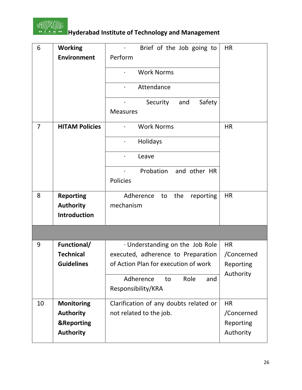

# **Hoston Reports of Technology and Management**

| 6              | <b>Working</b>        | Brief of the Job going to<br>$\bullet$ | <b>HR</b>        |
|----------------|-----------------------|----------------------------------------|------------------|
|                | <b>Environment</b>    | Perform                                |                  |
|                |                       | <b>Work Norms</b>                      |                  |
|                |                       | Attendance<br>$\bullet$                |                  |
|                |                       | Security<br>Safety<br>and              |                  |
|                |                       | <b>Measures</b>                        |                  |
| $\overline{7}$ | <b>HITAM Policies</b> | <b>Work Norms</b>                      | <b>HR</b>        |
|                |                       | Holidays<br>$\bullet$                  |                  |
|                |                       | Leave<br>$\bullet$                     |                  |
|                |                       | Probation<br>and other HR              |                  |
|                |                       | Policies                               |                  |
| 8              | <b>Reporting</b>      | Adherence<br>the<br>reporting<br>to    | <b>HR</b>        |
|                | <b>Authority</b>      | mechanism                              |                  |
|                | Introduction          |                                        |                  |
|                |                       |                                        |                  |
| 9              | Functional/           | · Understanding on the Job Role        | <b>HR</b>        |
|                | <b>Technical</b>      | executed, adherence to Preparation     | /Concerned       |
|                | <b>Guidelines</b>     | of Action Plan for execution of work   | <b>Reporting</b> |
|                |                       | Adherence<br>Role<br>to<br>and         | Authority        |
|                |                       | Responsibility/KRA                     |                  |
| 10             | <b>Monitoring</b>     | Clarification of any doubts related or | <b>HR</b>        |
|                | <b>Authority</b>      | not related to the job.                | /Concerned       |
|                | <b>&amp;Reporting</b> |                                        | Reporting        |
|                | <b>Authority</b>      |                                        | Authority        |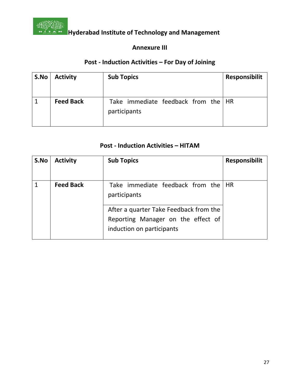

#### **Annexure III**

## **Post - Induction Activities – For Day of Joining**

| S.No | <b>Activity</b>  | <b>Sub Topics</b>                                     | <b>Responsibilit</b> |
|------|------------------|-------------------------------------------------------|----------------------|
|      | <b>Feed Back</b> | Take immediate feedback from the   HR<br>participants |                      |

#### **Post - Induction Activities – HITAM**

| S.No | <b>Activity</b>  | <b>Sub Topics</b>                                   | <b>Responsibilit</b> |
|------|------------------|-----------------------------------------------------|----------------------|
|      | <b>Feed Back</b> | Take immediate feedback from the HR<br>participants |                      |
|      |                  | After a quarter Take Feedback from the              |                      |
|      |                  | Reporting Manager on the effect of                  |                      |
|      |                  | induction on participants                           |                      |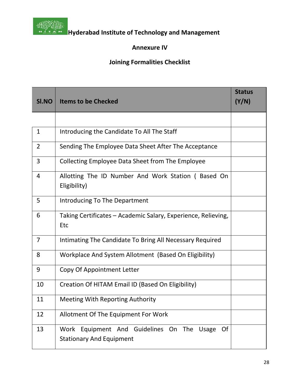

#### **Annexure IV**

### **Joining Formalities Checklist**

| SI.NO          | <b>Items to be Checked</b>                                                                    | <b>Status</b><br>(Y/N) |
|----------------|-----------------------------------------------------------------------------------------------|------------------------|
|                |                                                                                               |                        |
|                |                                                                                               |                        |
| 1              | Introducing the Candidate To All The Staff                                                    |                        |
| $\overline{2}$ | Sending The Employee Data Sheet After The Acceptance                                          |                        |
| 3              | Collecting Employee Data Sheet from The Employee                                              |                        |
| 4              | Allotting The ID Number And Work Station (Based On<br>Eligibility)                            |                        |
| 5              | Introducing To The Department                                                                 |                        |
| 6              | Taking Certificates – Academic Salary, Experience, Relieving,<br><b>Etc</b>                   |                        |
| $\overline{7}$ | Intimating The Candidate To Bring All Necessary Required                                      |                        |
| 8              | Workplace And System Allotment (Based On Eligibility)                                         |                        |
| 9              | Copy Of Appointment Letter                                                                    |                        |
| 10             | Creation Of HITAM Email ID (Based On Eligibility)                                             |                        |
| 11             | <b>Meeting With Reporting Authority</b>                                                       |                        |
| 12             | Allotment Of The Equipment For Work                                                           |                        |
| 13             | Work Equipment And Guidelines On The<br>Of<br><b>Usage</b><br><b>Stationary And Equipment</b> |                        |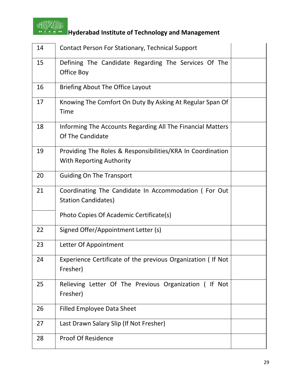

# **Hoston Reports of Technology and Management**

| 14 | Contact Person For Stationary, Technical Support                                              |  |
|----|-----------------------------------------------------------------------------------------------|--|
| 15 | Defining The Candidate Regarding The Services Of The<br>Office Boy                            |  |
| 16 | <b>Briefing About The Office Layout</b>                                                       |  |
| 17 | Knowing The Comfort On Duty By Asking At Regular Span Of<br><b>Time</b>                       |  |
| 18 | Informing The Accounts Regarding All The Financial Matters<br>Of The Candidate                |  |
| 19 | Providing The Roles & Responsibilities/KRA In Coordination<br><b>With Reporting Authority</b> |  |
| 20 | <b>Guiding On The Transport</b>                                                               |  |
| 21 | Coordinating The Candidate In Accommodation (For Out<br><b>Station Candidates)</b>            |  |
|    | Photo Copies Of Academic Certificate(s)                                                       |  |
| 22 | Signed Offer/Appointment Letter (s)                                                           |  |
| 23 | Letter Of Appointment                                                                         |  |
| 24 | Experience Certificate of the previous Organization (If Not<br>Fresher)                       |  |
| 25 | Relieving Letter Of The Previous Organization (If Not<br>Fresher)                             |  |
| 26 | <b>Filled Employee Data Sheet</b>                                                             |  |
| 27 | Last Drawn Salary Slip (If Not Fresher)                                                       |  |
| 28 | <b>Proof Of Residence</b>                                                                     |  |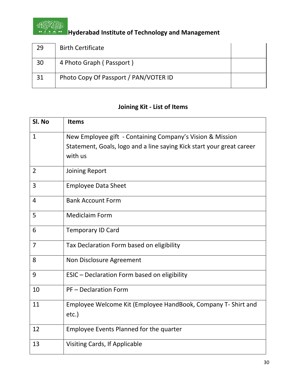

## **Hostin Englishers**<br>**Hyderabad Institute of Technology and Management**

| 29 | <b>Birth Certificate</b>              |  |
|----|---------------------------------------|--|
| 30 | 4 Photo Graph (Passport)              |  |
| 31 | Photo Copy Of Passport / PAN/VOTER ID |  |

### **Joining Kit - List of Items**

| Sl. No         | <b>Items</b>                                                          |
|----------------|-----------------------------------------------------------------------|
| $\mathbf{1}$   | New Employee gift - Containing Company's Vision & Mission             |
|                | Statement, Goals, logo and a line saying Kick start your great career |
|                | with us                                                               |
| $\overline{2}$ | Joining Report                                                        |
| 3              | <b>Employee Data Sheet</b>                                            |
| $\overline{4}$ | <b>Bank Account Form</b>                                              |
| 5              | <b>Mediclaim Form</b>                                                 |
| 6              | <b>Temporary ID Card</b>                                              |
| $\overline{7}$ | Tax Declaration Form based on eligibility                             |
| 8              | Non Disclosure Agreement                                              |
| 9              | ESIC - Declaration Form based on eligibility                          |
| 10             | <b>PF-Declaration Form</b>                                            |
| 11             | Employee Welcome Kit (Employee HandBook, Company T- Shirt and         |
|                | $etc.$ )                                                              |
| 12             | Employee Events Planned for the quarter                               |
| 13             | Visiting Cards, If Applicable                                         |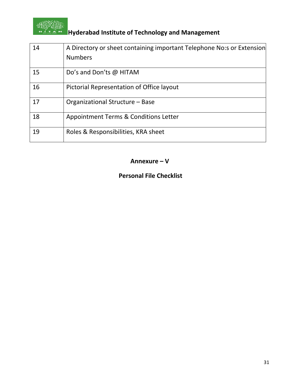

## **Hoston Reports of Technology and Management**

| 14 | A Directory or sheet containing important Telephone No:s or Extension<br><b>Numbers</b> |
|----|-----------------------------------------------------------------------------------------|
| 15 | Do's and Don'ts @ HITAM                                                                 |
| 16 | Pictorial Representation of Office layout                                               |
| 17 | Organizational Structure - Base                                                         |
| 18 | Appointment Terms & Conditions Letter                                                   |
| 19 | Roles & Responsibilities, KRA sheet                                                     |

#### **Annexure – V**

#### **Personal File Checklist**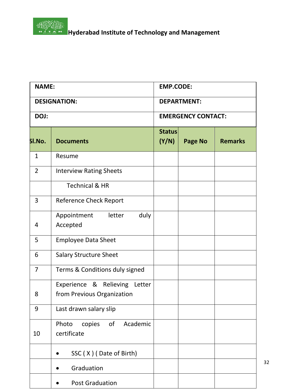

**Hoston Reports**<br>The Management Hyderabad Institute of Technology and Management

| <b>NAME:</b>   |                                                             | <b>EMP.CODE:</b>       |                           |                |  |
|----------------|-------------------------------------------------------------|------------------------|---------------------------|----------------|--|
|                | <b>DESIGNATION:</b>                                         | <b>DEPARTMENT:</b>     |                           |                |  |
| DOJ:           |                                                             |                        | <b>EMERGENCY CONTACT:</b> |                |  |
| SI.No.         | <b>Documents</b>                                            | <b>Status</b><br>(Y/N) | Page No                   | <b>Remarks</b> |  |
| $\mathbf{1}$   | Resume                                                      |                        |                           |                |  |
| $\overline{2}$ | <b>Interview Rating Sheets</b>                              |                        |                           |                |  |
|                | <b>Technical &amp; HR</b>                                   |                        |                           |                |  |
| 3              | <b>Reference Check Report</b>                               |                        |                           |                |  |
| 4              | duly<br>Appointment<br>letter<br>Accepted                   |                        |                           |                |  |
| 5              | <b>Employee Data Sheet</b>                                  |                        |                           |                |  |
| 6              | <b>Salary Structure Sheet</b>                               |                        |                           |                |  |
| $\overline{7}$ | Terms & Conditions duly signed                              |                        |                           |                |  |
| 8              | Experience & Relieving Letter<br>from Previous Organization |                        |                           |                |  |
| 9              | Last drawn salary slip                                      |                        |                           |                |  |
| 10             | of<br>Academic<br>Photo<br>copies<br>certificate            |                        |                           |                |  |
|                | SSC (X) (Date of Birth)                                     |                        |                           |                |  |
|                | Graduation                                                  |                        |                           |                |  |
|                | <b>Post Graduation</b>                                      |                        |                           |                |  |

32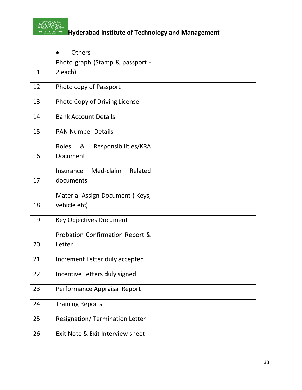

## **Hoston Reports**<br>**Hyderabad Institute of Technology and Management**

|    | Others                                                |  |  |
|----|-------------------------------------------------------|--|--|
|    | Photo graph (Stamp & passport -                       |  |  |
| 11 | 2 each)                                               |  |  |
| 12 | Photo copy of Passport                                |  |  |
| 13 | Photo Copy of Driving License                         |  |  |
| 14 | <b>Bank Account Details</b>                           |  |  |
| 15 | <b>PAN Number Details</b>                             |  |  |
| 16 | <b>Roles</b><br>&<br>Responsibilities/KRA<br>Document |  |  |
| 17 | Med-claim<br>Related<br>Insurance<br>documents        |  |  |
| 18 | Material Assign Document (Keys,<br>vehicle etc)       |  |  |
| 19 | <b>Key Objectives Document</b>                        |  |  |
| 20 | Probation Confirmation Report &<br>Letter             |  |  |
| 21 | Increment Letter duly accepted                        |  |  |
| 22 | Incentive Letters duly signed                         |  |  |
| 23 | Performance Appraisal Report                          |  |  |
| 24 | <b>Training Reports</b>                               |  |  |
| 25 | <b>Resignation/ Termination Letter</b>                |  |  |
| 26 | Exit Note & Exit Interview sheet                      |  |  |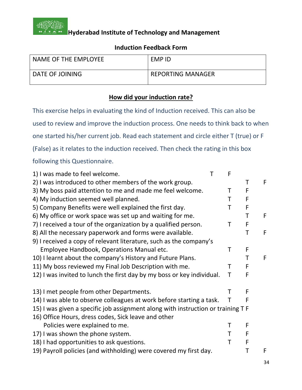

#### **Induction Feedback Form**

| NAME OF THE EMPLOYEE | EMP ID                   |
|----------------------|--------------------------|
| DATE OF JOINING      | <b>REPORTING MANAGER</b> |

#### **How did your induction rate?**

This exercise helps in evaluating the kind of Induction received. This can also be used to review and improve the induction process. One needs to think back to when one started his/her current job. Read each statement and circle either T (true) or F (False) as it relates to the induction received. Then check the rating in this box following this Questionnaire.

| 1) I was made to feel welcome.                                                   | Т | F |   |   |
|----------------------------------------------------------------------------------|---|---|---|---|
| 2) I was introduced to other members of the work group.                          |   |   | Τ | F |
| 3) My boss paid attention to me and made me feel welcome.                        |   | т | F |   |
| 4) My induction seemed well planned.                                             |   | Т | F |   |
| 5) Company Benefits were well explained the first day.                           |   | т | F |   |
| 6) My office or work space was set up and waiting for me.                        |   |   | T | F |
| 7) I received a tour of the organization by a qualified person.                  |   | Τ | F |   |
| 8) All the necessary paperwork and forms were available.                         |   |   | T | F |
| 9) I received a copy of relevant literature, such as the company's               |   |   |   |   |
| Employee Handbook, Operations Manual etc.                                        |   | Τ | F |   |
| 10) I learnt about the company's History and Future Plans.                       |   |   | Τ | F |
| 11) My boss reviewed my Final Job Description with me.                           |   | т | F |   |
| 12) I was invited to lunch the first day by my boss or key individual.           |   | Τ | F |   |
| 13) I met people from other Departments.                                         |   |   | F |   |
| 14) I was able to observe colleagues at work before starting a task.             |   | Τ | F |   |
| 15) I was given a specific job assignment along with instruction or training T F |   |   |   |   |
| 16) Office Hours, dress codes, Sick leave and other                              |   |   |   |   |
| Policies were explained to me.                                                   |   | Τ | F |   |
| 17) I was shown the phone system.                                                |   | т | F |   |
| 18) I had opportunities to ask questions.                                        |   | Τ | F |   |
| 19) Payroll policies (and withholding) were covered my first day.                |   |   |   | F |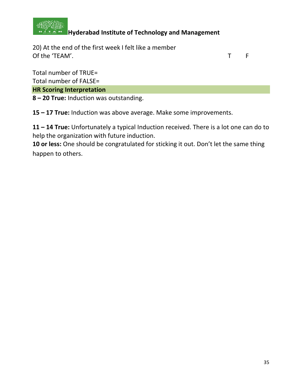

20) At the end of the first week I felt like a member Of the 'TEAM'. The state of the team of the state of the state of the state of the state of the state of the state of the state of the state of the state of the state of the state of the state of the state of the state of

Total number of TRUE= Total number of FALSE=

**HR Scoring Interpretation**

**8 – 20 True:** Induction was outstanding.

**15 – 17 True:** Induction was above average. Make some improvements.

**11 – 14 True:** Unfortunately a typical Induction received. There is a lot one can do to help the organization with future induction.

**10 or less:** One should be congratulated for sticking it out. Don't let the same thing happen to others.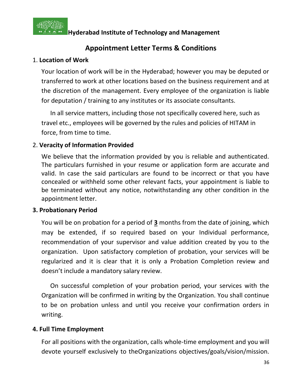

### **Appointment Letter Terms & Conditions**

#### 1. **Location of Work**

Your location of work will be in the Hyderabad; however you may be deputed or transferred to work at other locations based on the business requirement and at the discretion of the management. Every employee of the organization is liable for deputation / training to any institutes or its associate consultants.

In all service matters, including those not specifically covered here, such as travel etc., employees will be governed by the rules and policies of HITAM in force, from time to time.

#### 2. **Veracity of Information Provided**

We believe that the information provided by you is reliable and authenticated. The particulars furnished in your resume or application form are accurate and valid. In case the said particulars are found to be incorrect or that you have concealed or withheld some other relevant facts, your appointment is liable to be terminated without any notice, notwithstanding any other condition in the appointment letter.

#### **3. Probationary Period**

You will be on probation for a period of **3** months from the date of joining, which may be extended, if so required based on your Individual performance, recommendation of your supervisor and value addition created by you to the organization. Upon satisfactory completion of probation, your services will be regularized and it is clear that it is only a Probation Completion review and doesn't include a mandatory salary review.

On successful completion of your probation period, your services with the Organization will be confirmed in writing by the Organization. You shall continue to be on probation unless and until you receive your confirmation orders in writing.

#### **4. Full Time Employment**

For all positions with the organization, calls whole-time employment and you will devote yourself exclusively to theOrganizations objectives/goals/vision/mission.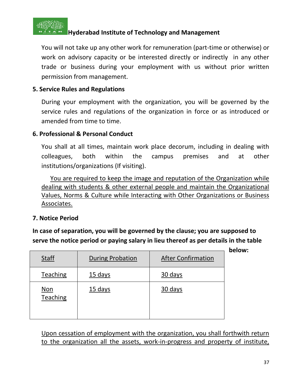

You will not take up any other work for remuneration (part-time or otherwise) or work on advisory capacity or be interested directly or indirectly in any other trade or business during your employment with us without prior written permission from management.

## **5. Service Rules and Regulations**

During your employment with the organization, you will be governed by the service rules and regulations of the organization in force or as introduced or amended from time to time.

# **6. Professional & Personal Conduct**

You shall at all times, maintain work place decorum, including in dealing with colleagues, both within the campus premises and at other institutions/organizations (If visiting).

You are required to keep the image and reputation of the Organization while dealing with students & other external people and maintain the Organizational Values, Norms & Culture while Interacting with Other Organizations or Business Associates.

## **7. Notice Period**

**In case of separation, you will be governed by the clause; you are supposed to serve the notice period or paying salary in lieu thereof as per details in the table** 

| <b>Staff</b>                  | <b>During Probation</b> | <b>After Confirmation</b> |
|-------------------------------|-------------------------|---------------------------|
| Teaching                      | 15 days                 | 30 days                   |
| <u>Non</u><br><b>Teaching</b> | 15 days                 | 30 days                   |

Upon cessation of employment with the organization, you shall forthwith return to the organization all the assets, work-in-progress and property of institute,

**below:**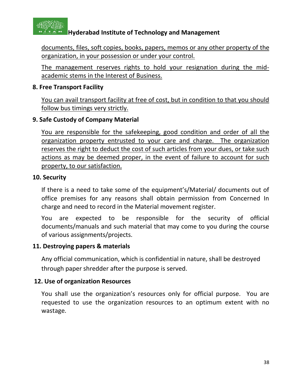

documents, files, soft copies, books, papers, memos or any other property of the organization, in your possession or under your control.

The management reserves rights to hold your resignation during the midacademic stems in the Interest of Business.

## **8. Free Transport Facility**

You can avail transport facility at free of cost, but in condition to that you should follow bus timings very strictly.

# **9. Safe Custody of Company Material**

You are responsible for the safekeeping, good condition and order of all the organization property entrusted to your care and charge. The organization reserves the right to deduct the cost of such articles from your dues, or take such actions as may be deemed proper, in the event of failure to account for such property, to our satisfaction.

## **10. Security**

If there is a need to take some of the equipment's/Material/ documents out of office premises for any reasons shall obtain permission from Concerned In charge and need to record in the Material movement register.

You are expected to be responsible for the security of official documents/manuals and such material that may come to you during the course of various assignments/projects.

## **11. Destroying papers & materials**

Any official communication, which is confidential in nature, shall be destroyed through paper shredder after the purpose is served.

## **12. Use of organization Resources**

You shall use the organization's resources only for official purpose. You are requested to use the organization resources to an optimum extent with no wastage.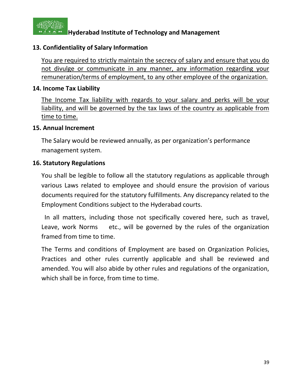

# **13. Confidentiality of Salary Information**

You are required to strictly maintain the secrecy of salary and ensure that you do not divulge or communicate in any manner, any information regarding your remuneration/terms of employment, to any other employee of the organization.

## **14. Income Tax Liability**

The Income Tax liability with regards to your salary and perks will be your liability, and will be governed by the tax laws of the country as applicable from time to time.

## **15. Annual Increment**

The Salary would be reviewed annually, as per organization's performance management system.

## **16. Statutory Regulations**

You shall be legible to follow all the statutory regulations as applicable through various Laws related to employee and should ensure the provision of various documents required for the statutory fulfillments. Any discrepancy related to the Employment Conditions subject to the Hyderabad courts.

 In all matters, including those not specifically covered here, such as travel, Leave, work Norms etc., will be governed by the rules of the organization framed from time to time.

The Terms and conditions of Employment are based on Organization Policies, Practices and other rules currently applicable and shall be reviewed and amended. You will also abide by other rules and regulations of the organization, which shall be in force, from time to time.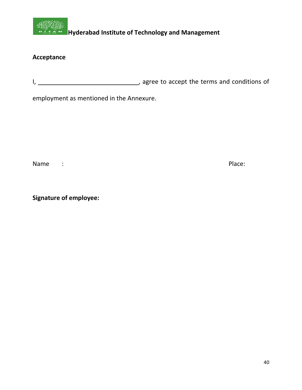

# **Acceptance**

I, \_\_\_\_\_\_\_\_\_\_\_\_\_ , agree to accept the terms and conditions of

employment as mentioned in the Annexure.

Name : Place:

**Signature of employee:**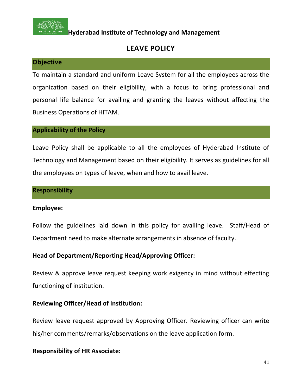

# **LEAVE POLICY**

#### **Objective**

To maintain a standard and uniform Leave System for all the employees across the organization based on their eligibility, with a focus to bring professional and personal life balance for availing and granting the leaves without affecting the Business Operations of HITAM.

#### **Applicability of the Policy**

Leave Policy shall be applicable to all the employees of Hyderabad Institute of Technology and Management based on their eligibility. It serves as guidelines for all the employees on types of leave, when and how to avail leave.

#### **Responsibility**

#### **Employee:**

Follow the guidelines laid down in this policy for availing leave. Staff/Head of Department need to make alternate arrangements in absence of faculty.

## **Head of Department/Reporting Head/Approving Officer:**

Review & approve leave request keeping work exigency in mind without effecting functioning of institution.

## **Reviewing Officer/Head of Institution:**

Review leave request approved by Approving Officer. Reviewing officer can write his/her comments/remarks/observations on the leave application form.

## **Responsibility of HR Associate:**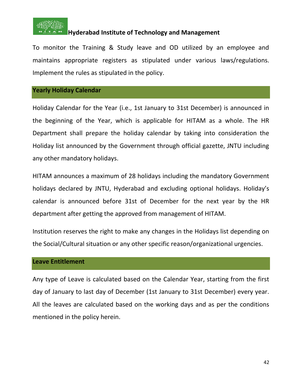

To monitor the Training & Study leave and OD utilized by an employee and maintains appropriate registers as stipulated under various laws/regulations. Implement the rules as stipulated in the policy.

#### **Yearly Holiday Calendar**

Holiday Calendar for the Year (i.e., 1st January to 31st December) is announced in the beginning of the Year, which is applicable for HITAM as a whole. The HR Department shall prepare the holiday calendar by taking into consideration the Holiday list announced by the Government through official gazette, JNTU including any other mandatory holidays.

HITAM announces a maximum of 28 holidays including the mandatory Government holidays declared by JNTU, Hyderabad and excluding optional holidays. Holiday's calendar is announced before 31st of December for the next year by the HR department after getting the approved from management of HITAM.

Institution reserves the right to make any changes in the Holidays list depending on the Social/Cultural situation or any other specific reason/organizational urgencies.

#### **Leave Entitlement**

Any type of Leave is calculated based on the Calendar Year, starting from the first day of January to last day of December (1st January to 31st December) every year. All the leaves are calculated based on the working days and as per the conditions mentioned in the policy herein.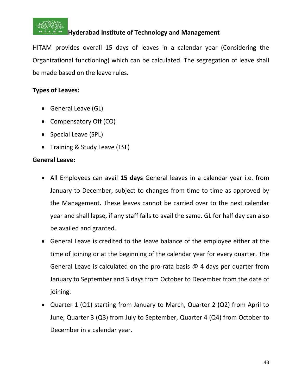

HITAM provides overall 15 days of leaves in a calendar year (Considering the Organizational functioning) which can be calculated. The segregation of leave shall be made based on the leave rules.

# **Types of Leaves:**

- General Leave (GL)
- Compensatory Off (CO)
- Special Leave (SPL)
- Training & Study Leave (TSL)

## **General Leave:**

- All Employees can avail **15 days** General leaves in a calendar year i.e. from January to December, subject to changes from time to time as approved by the Management. These leaves cannot be carried over to the next calendar year and shall lapse, if any staff fails to avail the same. GL for half day can also be availed and granted.
- General Leave is credited to the leave balance of the employee either at the time of joining or at the beginning of the calendar year for every quarter. The General Leave is calculated on the pro-rata basis @ 4 days per quarter from January to September and 3 days from October to December from the date of joining.
- Quarter 1 (Q1) starting from January to March, Quarter 2 (Q2) from April to June, Quarter 3 (Q3) from July to September, Quarter 4 (Q4) from October to December in a calendar year.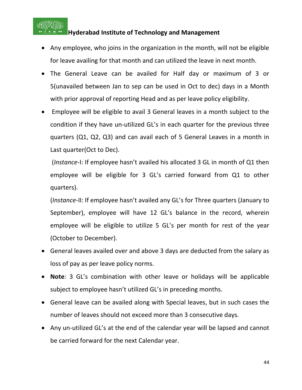

- Any employee, who joins in the organization in the month, will not be eligible for leave availing for that month and can utilized the leave in next month.
- The General Leave can be availed for Half day or maximum of 3 or 5(unavailed between Jan to sep can be used in Oct to dec) days in a Month with prior approval of reporting Head and as per leave policy eligibility.
- Employee will be eligible to avail 3 General leaves in a month subject to the condition if they have un-utilized GL's in each quarter for the previous three quarters (Q1, Q2, Q3) and can avail each of 5 General Leaves in a month in Last quarter(Oct to Dec).

(*Instance*-I: If employee hasn't availed his allocated 3 GL in month of Q1 then employee will be eligible for 3 GL's carried forward from Q1 to other quarters).

(*Instance*-II: If employee hasn't availed any GL's for Three quarters (January to September), employee will have 12 GL's balance in the record, wherein employee will be eligible to utilize 5 GL's per month for rest of the year (October to December).

- General leaves availed over and above 3 days are deducted from the salary as loss of pay as per leave policy norms.
- **Note**: 3 GL's combination with other leave or holidays will be applicable subject to employee hasn't utilized GL's in preceding months.
- General leave can be availed along with Special leaves, but in such cases the number of leaves should not exceed more than 3 consecutive days.
- Any un-utilized GL's at the end of the calendar year will be lapsed and cannot be carried forward for the next Calendar year.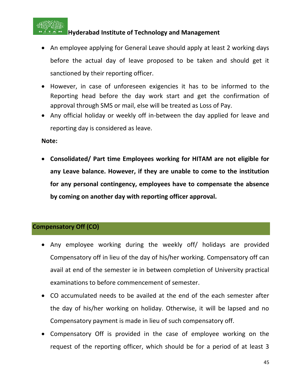

- An employee applying for General Leave should apply at least 2 working days before the actual day of leave proposed to be taken and should get it sanctioned by their reporting officer.
- However, in case of unforeseen exigencies it has to be informed to the Reporting head before the day work start and get the confirmation of approval through SMS or mail, else will be treated as Loss of Pay.
- Any official holiday or weekly off in-between the day applied for leave and reporting day is considered as leave.

**Note:**

• **Consolidated/ Part time Employees working for HITAM are not eligible for any Leave balance. However, if they are unable to come to the institution for any personal contingency, employees have to compensate the absence by coming on another day with reporting officer approval.**

## **Compensatory Off (CO)**

- Any employee working during the weekly off/ holidays are provided Compensatory off in lieu of the day of his/her working. Compensatory off can avail at end of the semester ie in between completion of University practical examinations to before commencement of semester.
- CO accumulated needs to be availed at the end of the each semester after the day of his/her working on holiday. Otherwise, it will be lapsed and no Compensatory payment is made in lieu of such compensatory off.
- Compensatory Off is provided in the case of employee working on the request of the reporting officer, which should be for a period of at least 3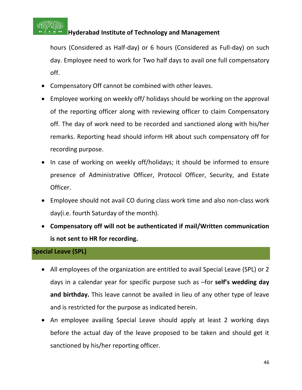

hours (Considered as Half-day) or 6 hours (Considered as Full-day) on such day. Employee need to work for Two half days to avail one full compensatory off.

- Compensatory Off cannot be combined with other leaves.
- Employee working on weekly off/ holidays should be working on the approval of the reporting officer along with reviewing officer to claim Compensatory off. The day of work need to be recorded and sanctioned along with his/her remarks. Reporting head should inform HR about such compensatory off for recording purpose.
- In case of working on weekly off/holidays; it should be informed to ensure presence of Administrative Officer, Protocol Officer, Security, and Estate Officer.
- Employee should not avail CO during class work time and also non-class work day(i.e. fourth Saturday of the month).
- **Compensatory off will not be authenticated if mail/Written communication is not sent to HR for recording.**

## **Special Leave (SPL)**

- All employees of the organization are entitled to avail Special Leave (SPL) or 2 days in a calendar year for specific purpose such as –for **self's wedding day and birthday.** This leave cannot be availed in lieu of any other type of leave and is restricted for the purpose as indicated herein.
- An employee availing Special Leave should apply at least 2 working days before the actual day of the leave proposed to be taken and should get it sanctioned by his/her reporting officer.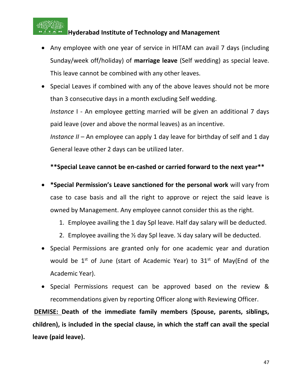

- Any employee with one year of service in HITAM can avail 7 days (including Sunday/week off/holiday) of **marriage leave** (Self wedding) as special leave. This leave cannot be combined with any other leaves.
- Special Leaves if combined with any of the above leaves should not be more than 3 consecutive days in a month excluding Self wedding.

*Instance* I - An employee getting married will be given an additional 7 days paid leave (over and above the normal leaves) as an incentive.

*Instance II –* An employee can apply 1 day leave for birthday of self and 1 day General leave other 2 days can be utilized later.

## **\*\*Special Leave cannot be en-cashed or carried forward to the next year\*\***

- **\*Special Permission's Leave sanctioned for the personal work** will vary from case to case basis and all the right to approve or reject the said leave is owned by Management. Any employee cannot consider this as the right.
	- 1. Employee availing the 1 day Spl leave. Half day salary will be deducted.
	- 2. Employee availing the  $\frac{1}{2}$  day Spl leave.  $\frac{1}{4}$  day salary will be deducted.
- Special Permissions are granted only for one academic year and duration would be  $1^{st}$  of June (start of Academic Year) to  $31^{st}$  of May(End of the Academic Year).
- Special Permissions request can be approved based on the review & recommendations given by reporting Officer along with Reviewing Officer.

**DEMISE: Death of the immediate family members (Spouse, parents, siblings, children), is included in the special clause, in which the staff can avail the special leave (paid leave).**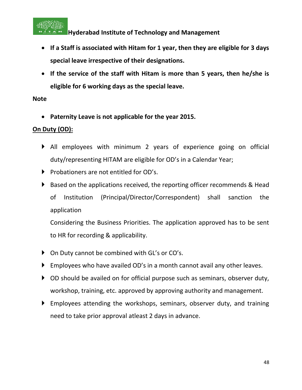

- **If a Staff is associated with Hitam for 1 year, then they are eligible for 3 days special leave irrespective of their designations.**
- **If the service of the staff with Hitam is more than 5 years, then he/she is eligible for 6 working days as the special leave.**

## **Note**

• **Paternity Leave is not applicable for the year 2015.**

# **On Duty (OD):**

- All employees with minimum 2 years of experience going on official duty/representing HITAM are eligible for OD's in a Calendar Year;
- Probationers are not entitled for OD's.
- ▶ Based on the applications received, the reporting officer recommends & Head of Institution (Principal/Director/Correspondent) shall sanction the application

Considering the Business Priorities. The application approved has to be sent to HR for recording & applicability.

- ▶ On Duty cannot be combined with GL's or CO's.
- Employees who have availed OD's in a month cannot avail any other leaves.
- ▶ OD should be availed on for official purpose such as seminars, observer duty, workshop, training, etc. approved by approving authority and management.
- Employees attending the workshops, seminars, observer duty, and training need to take prior approval atleast 2 days in advance.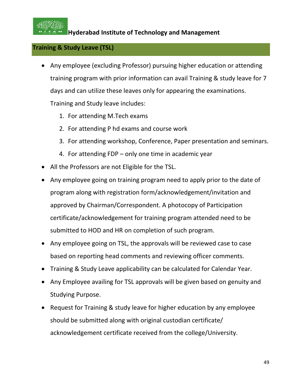

# **Training & Study Leave (TSL)**

- Any employee (excluding Professor) pursuing higher education or attending training program with prior information can avail Training & study leave for 7 days and can utilize these leaves only for appearing the examinations. Training and Study leave includes:
	- 1. For attending M.Tech exams
	- 2. For attending P hd exams and course work
	- 3. For attending workshop, Conference, Paper presentation and seminars.
	- 4. For attending FDP only one time in academic year
- All the Professors are not Eligible for the TSL.
- Any employee going on training program need to apply prior to the date of program along with registration form/acknowledgement/invitation and approved by Chairman/Correspondent. A photocopy of Participation certificate/acknowledgement for training program attended need to be submitted to HOD and HR on completion of such program.
- Any employee going on TSL, the approvals will be reviewed case to case based on reporting head comments and reviewing officer comments.
- Training & Study Leave applicability can be calculated for Calendar Year.
- Any Employee availing for TSL approvals will be given based on genuity and Studying Purpose.
- Request for Training & study leave for higher education by any employee should be submitted along with original custodian certificate/ acknowledgement certificate received from the college/University.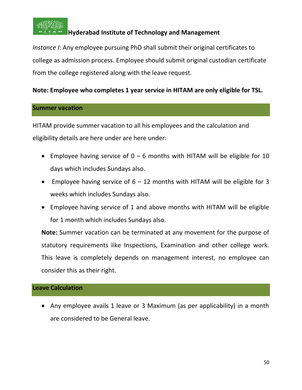

*Instance I*: Any employee pursuing PhD shall submit their original certificates to college as admission process. Employee should submit original custodian certificate from the college registered along with the leave request.

# **Note: Employee who completes 1 year service in HITAM are only eligible for TSL.**

#### **Summer vacation**

HITAM provide summer vacation to all his employees and the calculation and eligibility details are here under are here under:

- Employee having service of  $0 6$  months with HITAM will be eligible for 10 days which includes Sundays also.
- Employee having service of  $6 12$  months with HITAM will be eligible for 3 weeks which includes Sundays also.
- Employee having service of 1 and above months with HITAM will be eligible for 1 month which includes Sundays also.

**Note:** Summer vacation can be terminated at any movement for the purpose of statutory requirements like Inspections, Examination and other college work. This leave is completely depends on management interest, no employee can consider this as their right.

## **Leave Calculation**

• Any employee avails 1 leave or 3 Maximum (as per applicability) in a month are considered to be General leave.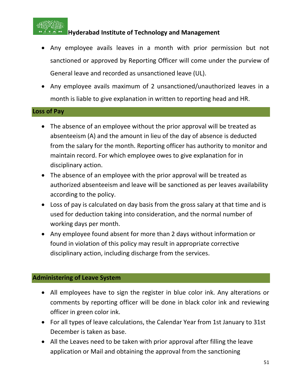

- Any employee avails leaves in a month with prior permission but not sanctioned or approved by Reporting Officer will come under the purview of General leave and recorded as unsanctioned leave (UL).
- Any employee avails maximum of 2 unsanctioned/unauthorized leaves in a month is liable to give explanation in written to reporting head and HR.

## **Loss of Pay**

- The absence of an employee without the prior approval will be treated as absenteeism (A) and the amount in lieu of the day of absence is deducted from the salary for the month. Reporting officer has authority to monitor and maintain record. For which employee owes to give explanation for in disciplinary action.
- The absence of an employee with the prior approval will be treated as authorized absenteeism and leave will be sanctioned as per leaves availability according to the policy.
- Loss of pay is calculated on day basis from the gross salary at that time and is used for deduction taking into consideration, and the normal number of working days per month.
- Any employee found absent for more than 2 days without information or found in violation of this policy may result in appropriate corrective disciplinary action, including discharge from the services.

# **Administering of Leave System**

- All employees have to sign the register in blue color ink. Any alterations or comments by reporting officer will be done in black color ink and reviewing officer in green color ink.
- For all types of leave calculations, the Calendar Year from 1st January to 31st December is taken as base.
- All the Leaves need to be taken with prior approval after filling the leave application or Mail and obtaining the approval from the sanctioning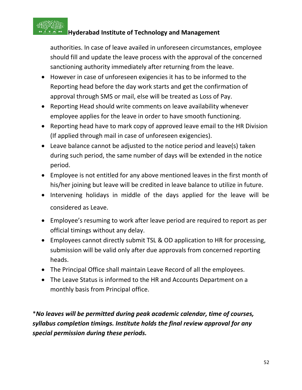

authorities. In case of leave availed in unforeseen circumstances, employee should fill and update the leave process with the approval of the concerned sanctioning authority immediately after returning from the leave.

- However in case of unforeseen exigencies it has to be informed to the Reporting head before the day work starts and get the confirmation of approval through SMS or mail, else will be treated as Loss of Pay.
- Reporting Head should write comments on leave availability whenever employee applies for the leave in order to have smooth functioning.
- Reporting head have to mark copy of approved leave email to the HR Division (If applied through mail in case of unforeseen exigencies).
- Leave balance cannot be adjusted to the notice period and leave(s) taken during such period, the same number of days will be extended in the notice period.
- Employee is not entitled for any above mentioned leaves in the first month of his/her joining but leave will be credited in leave balance to utilize in future.
- Intervening holidays in middle of the days applied for the leave will be considered as Leave.
- Employee's resuming to work after leave period are required to report as per official timings without any delay.
- Employees cannot directly submit TSL & OD application to HR for processing, submission will be valid only after due approvals from concerned reporting heads.
- The Principal Office shall maintain Leave Record of all the employees.
- The Leave Status is informed to the HR and Accounts Department on a monthly basis from Principal office.

\**No leaves will be permitted during peak academic calendar, time of courses, syllabus completion timings. Institute holds the final review approval for any special permission during these periods.*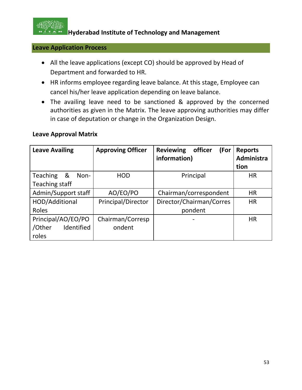

## **Leave Application Process**

- All the leave applications (except CO) should be approved by Head of Department and forwarded to HR.
- HR informs employee regarding leave balance. At this stage, Employee can cancel his/her leave application depending on leave balance.
- The availing leave need to be sanctioned & approved by the concerned authorities as given in the Matrix. The leave approving authorities may differ in case of deputation or change in the Organization Design.

#### **Leave Approval Matrix**

| <b>Leave Availing</b>                               | <b>Approving Officer</b>   | <b>Reviewing</b><br>officer<br>(For<br>information) | <b>Reports</b><br>Administra<br>tion |
|-----------------------------------------------------|----------------------------|-----------------------------------------------------|--------------------------------------|
| <b>Teaching</b><br>&<br>Non-<br>Teaching staff      | <b>HOD</b>                 | Principal                                           | <b>HR</b>                            |
| Admin/Support staff                                 | AO/EO/PO                   | Chairman/correspondent                              | <b>HR</b>                            |
| HOD/Additional<br>Roles                             | Principal/Director         | Director/Chairman/Corres<br>pondent                 | <b>HR</b>                            |
| Principal/AO/EO/PO<br>Identified<br>/Other<br>roles | Chairman/Corresp<br>ondent |                                                     | <b>HR</b>                            |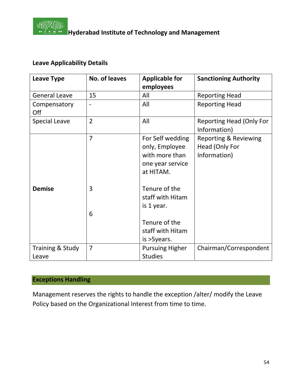

# **Leave Applicability Details**

| <b>Leave Type</b>         | No. of leaves            | <b>Applicable for</b>                                                                 | <b>Sanctioning Authority</b>                                       |
|---------------------------|--------------------------|---------------------------------------------------------------------------------------|--------------------------------------------------------------------|
|                           |                          | employees                                                                             |                                                                    |
| <b>General Leave</b>      | 15                       | All                                                                                   | <b>Reporting Head</b>                                              |
| Compensatory<br>Off       | $\overline{\phantom{a}}$ | All                                                                                   | <b>Reporting Head</b>                                              |
| <b>Special Leave</b>      | $\overline{2}$           | All                                                                                   | Reporting Head (Only For<br>Information)                           |
|                           | $\overline{7}$           | For Self wedding<br>only, Employee<br>with more than<br>one year service<br>at HITAM. | <b>Reporting &amp; Reviewing</b><br>Head (Only For<br>Information) |
| <b>Demise</b>             | 3<br>6                   | Tenure of the<br>staff with Hitam<br>is 1 year.                                       |                                                                    |
|                           |                          | Tenure of the<br>staff with Hitam<br>is > Syears.                                     |                                                                    |
| Training & Study<br>Leave | 7                        | <b>Pursuing Higher</b><br><b>Studies</b>                                              | Chairman/Correspondent                                             |

# **Exceptions Handling**

Management reserves the rights to handle the exception /alter/ modify the Leave Policy based on the Organizational Interest from time to time.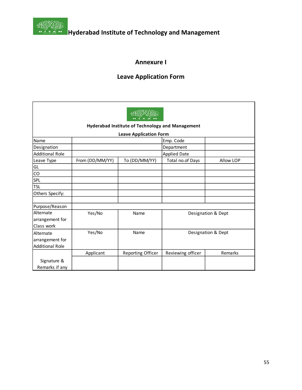

**Hostin Englishers**<br>**Hyderabad Institute of Technology and Management** 

# **Annexure I**

# **Leave Application Form**

|                        | Hyderabad Institute of Technology and Management |                   |                     |                    |
|------------------------|--------------------------------------------------|-------------------|---------------------|--------------------|
|                        | <b>Leave Application Form</b>                    |                   |                     |                    |
| Name                   |                                                  |                   | Emp. Code           |                    |
| Designation            |                                                  |                   | Department          |                    |
| <b>Additional Role</b> |                                                  |                   | <b>Applied Date</b> |                    |
| Leave Type             | From (DD/MM/YY)                                  | To (DD/MM/YY)     | Total no.of Days    | Allow LOP          |
| GL                     |                                                  |                   |                     |                    |
| ${\rm CO}$             |                                                  |                   |                     |                    |
| <b>SPL</b>             |                                                  |                   |                     |                    |
| <b>TSL</b>             |                                                  |                   |                     |                    |
| Others Specify:        |                                                  |                   |                     |                    |
|                        |                                                  |                   |                     |                    |
| Purpose/Reason         |                                                  |                   |                     |                    |
| Alternate              | Yes/No                                           | Name              |                     | Designation & Dept |
| arrangement for        |                                                  |                   |                     |                    |
| Class work             |                                                  |                   |                     |                    |
| <b>Alternate</b>       | Yes/No                                           | Name              |                     | Designation & Dept |
| arrangement for        |                                                  |                   |                     |                    |
| <b>Additional Role</b> |                                                  |                   |                     |                    |
|                        | Applicant                                        | Reporting Officer | Reviewing officer   | Remarks            |
| Signature &            |                                                  |                   |                     |                    |
| Remarks if any         |                                                  |                   |                     |                    |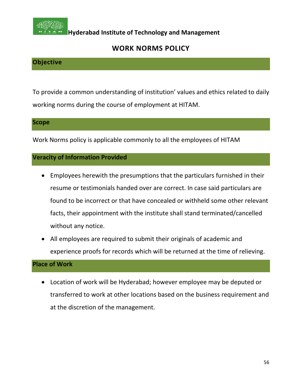

# **WORK NORMS POLICY**

# **Objective**

To provide a common understanding of institution' values and ethics related to daily working norms during the course of employment at HITAM.

#### **Scope**

Work Norms policy is applicable commonly to all the employees of HITAM

## **Veracity of Information Provided**

- Employees herewith the presumptions that the particulars furnished in their resume or testimonials handed over are correct. In case said particulars are found to be incorrect or that have concealed or withheld some other relevant facts, their appointment with the institute shall stand terminated/cancelled without any notice.
- All employees are required to submit their originals of academic and experience proofs for records which will be returned at the time of relieving.

## **Place of Work**

• Location of work will be Hyderabad; however employee may be deputed or transferred to work at other locations based on the business requirement and at the discretion of the management.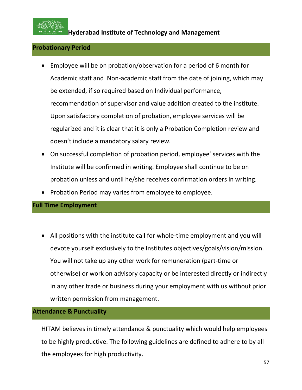

#### **Probationary Period**

- Employee will be on probation/observation for a period of 6 month for Academic staff and Non-academic staff from the date of joining, which may be extended, if so required based on Individual performance, recommendation of supervisor and value addition created to the institute. Upon satisfactory completion of probation, employee services will be regularized and it is clear that it is only a Probation Completion review and doesn't include a mandatory salary review.
- On successful completion of probation period, employee' services with the Institute will be confirmed in writing. Employee shall continue to be on probation unless and until he/she receives confirmation orders in writing.
- Probation Period may varies from employee to employee.

## **Full Time Employment**

• All positions with the institute call for whole-time employment and you will devote yourself exclusively to the Institutes objectives/goals/vision/mission. You will not take up any other work for remuneration (part-time or otherwise) or work on advisory capacity or be interested directly or indirectly in any other trade or business during your employment with us without prior written permission from management.

#### **Attendance & Punctuality**

HITAM believes in timely attendance & punctuality which would help employees to be highly productive. The following guidelines are defined to adhere to by all the employees for high productivity.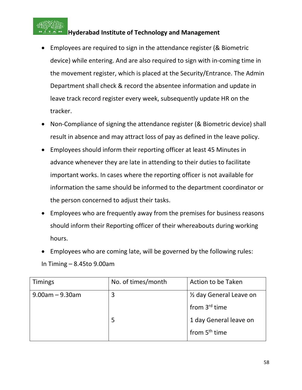

- Employees are required to sign in the attendance register (& Biometric device) while entering. And are also required to sign with in-coming time in the movement register, which is placed at the Security/Entrance. The Admin Department shall check & record the absentee information and update in leave track record register every week, subsequently update HR on the tracker.
- Non-Compliance of signing the attendance register (& Biometric device) shall result in absence and may attract loss of pay as defined in the leave policy.
- Employees should inform their reporting officer at least 45 Minutes in advance whenever they are late in attending to their duties to facilitate important works. In cases where the reporting officer is not available for information the same should be informed to the department coordinator or the person concerned to adjust their tasks.
- Employees who are frequently away from the premises for business reasons should inform their Reporting officer of their whereabouts during working hours.
- Employees who are coming late, will be governed by the following rules: In Timing – 8.45to 9.00am

| <b>Timings</b>        | No. of times/month | Action to be Taken        |
|-----------------------|--------------------|---------------------------|
| $9.00$ am – $9.30$ am | 3                  | 1/2 day General Leave on  |
|                       |                    | from 3 <sup>rd</sup> time |
|                       | 5                  | 1 day General leave on    |
|                       |                    | from 5 <sup>th</sup> time |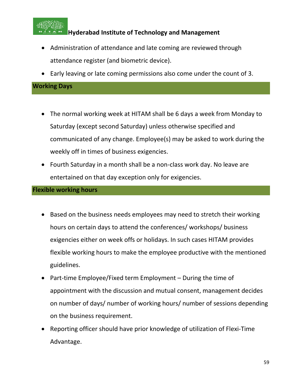

- Administration of attendance and late coming are reviewed through attendance register (and biometric device).
- Early leaving or late coming permissions also come under the count of 3.

## **Working Days**

- The normal working week at HITAM shall be 6 days a week from Monday to Saturday (except second Saturday) unless otherwise specified and communicated of any change. Employee(s) may be asked to work during the weekly off in times of business exigencies.
- Fourth Saturday in a month shall be a non-class work day. No leave are entertained on that day exception only for exigencies.

#### **Flexible working hours**

- Based on the business needs employees may need to stretch their working hours on certain days to attend the conferences/ workshops/ business exigencies either on week offs or holidays. In such cases HITAM provides flexible working hours to make the employee productive with the mentioned guidelines.
- Part-time Employee/Fixed term Employment During the time of appointment with the discussion and mutual consent, management decides on number of days/ number of working hours/ number of sessions depending on the business requirement.
- Reporting officer should have prior knowledge of utilization of Flexi-Time Advantage.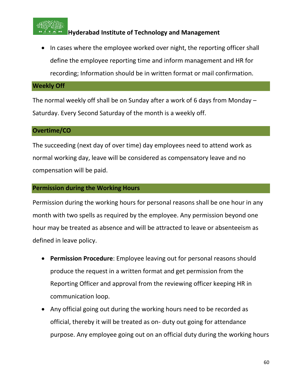

• In cases where the employee worked over night, the reporting officer shall define the employee reporting time and inform management and HR for recording; Information should be in written format or mail confirmation.

#### **Weekly Off**

The normal weekly off shall be on Sunday after a work of 6 days from Monday – Saturday. Every Second Saturday of the month is a weekly off.

#### **Overtime/CO**

The succeeding (next day of over time) day employees need to attend work as normal working day, leave will be considered as compensatory leave and no compensation will be paid.

## **Permission during the Working Hours**

Permission during the working hours for personal reasons shall be one hour in any month with two spells as required by the employee. Any permission beyond one hour may be treated as absence and will be attracted to leave or absenteeism as defined in leave policy.

- **Permission Procedure**: Employee leaving out for personal reasons should produce the request in a written format and get permission from the Reporting Officer and approval from the reviewing officer keeping HR in communication loop.
- Any official going out during the working hours need to be recorded as official, thereby it will be treated as on- duty out going for attendance purpose. Any employee going out on an official duty during the working hours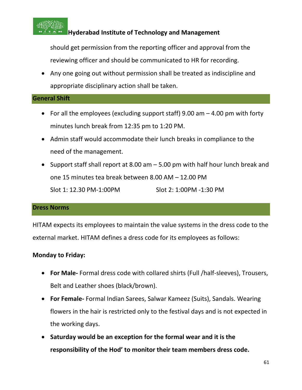

should get permission from the reporting officer and approval from the reviewing officer and should be communicated to HR for recording.

• Any one going out without permission shall be treated as indiscipline and appropriate disciplinary action shall be taken.

#### **General Shift**

- For all the employees (excluding support staff) 9.00 am 4.00 pm with forty minutes lunch break from 12:35 pm to 1:20 PM.
- Admin staff would accommodate their lunch breaks in compliance to the need of the management.
- Support staff shall report at 8.00 am 5.00 pm with half hour lunch break and one 15 minutes tea break between 8.00 AM – 12.00 PM Slot 1: 12.30 PM-1:00PM Slot 2: 1:00PM -1:30 PM

#### **Dress Norms**

HITAM expects its employees to maintain the value systems in the dress code to the external market. HITAM defines a dress code for its employees as follows:

#### **Monday to Friday:**

- **For Male-** Formal dress code with collared shirts (Full /half-sleeves), Trousers, Belt and Leather shoes (black/brown).
- **For Female-** Formal Indian Sarees, Salwar Kameez (Suits), Sandals. Wearing flowers in the hair is restricted only to the festival days and is not expected in the working days.
- **Saturday would be an exception for the formal wear and it is the responsibility of the Hod' to monitor their team members dress code.**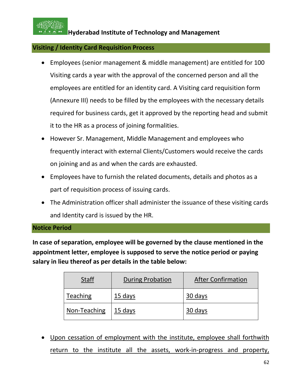

## **Visiting / Identity Card Requisition Process**

- Employees (senior management & middle management) are entitled for 100 Visiting cards a year with the approval of the concerned person and all the employees are entitled for an identity card. A Visiting card requisition form (Annexure III) needs to be filled by the employees with the necessary details required for business cards, get it approved by the reporting head and submit it to the HR as a process of joining formalities.
- However Sr. Management, Middle Management and employees who frequently interact with external Clients/Customers would receive the cards on joining and as and when the cards are exhausted.
- Employees have to furnish the related documents, details and photos as a part of requisition process of issuing cards.
- The Administration officer shall administer the issuance of these visiting cards and Identity card is issued by the HR.

#### **Notice Period**

**In case of separation, employee will be governed by the clause mentioned in the appointment letter, employee is supposed to serve the notice period or paying salary in lieu thereof as per details in the table below:**

| <b>Staff</b>    | <b>During Probation</b> | <b>After Confirmation</b> |
|-----------------|-------------------------|---------------------------|
| <b>Teaching</b> | 15 days                 | 30 days                   |
| Non-Teaching    | 15 days                 | 30 days                   |

• Upon cessation of employment with the institute, employee shall forthwith return to the institute all the assets, work-in-progress and property,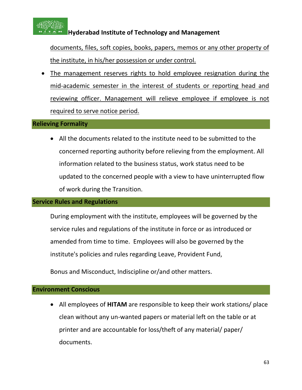

documents, files, soft copies, books, papers, memos or any other property of the institute, in his/her possession or under control.

• The management reserves rights to hold employee resignation during the mid-academic semester in the interest of students or reporting head and reviewing officer. Management will relieve employee if employee is not required to serve notice period.

#### **Relieving Formality**

• All the documents related to the institute need to be submitted to the concerned reporting authority before relieving from the employment. All information related to the business status, work status need to be updated to the concerned people with a view to have uninterrupted flow of work during the Transition.

#### **Service Rules and Regulations**

During employment with the institute, employees will be governed by the service rules and regulations of the institute in force or as introduced or amended from time to time. Employees will also be governed by the institute's policies and rules regarding Leave, Provident Fund,

Bonus and Misconduct, Indiscipline or/and other matters.

#### **Environment Conscious**

• All employees of **HITAM** are responsible to keep their work stations/ place clean without any un-wanted papers or material left on the table or at printer and are accountable for loss/theft of any material/ paper/ documents.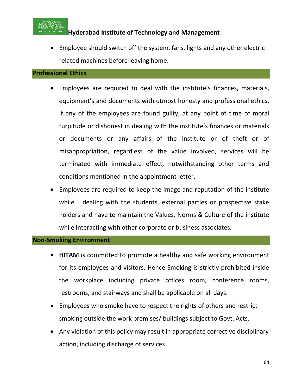

• Employee should switch off the system, fans, lights and any other electric related machines before leaving home.

#### **Professional Ethics**

- Employees are required to deal with the institute's finances, materials, equipment's and documents with utmost honesty and professional ethics. If any of the employees are found guilty, at any point of time of moral turpitude or dishonest in dealing with the institute's finances or materials or documents or any affairs of the institute or of theft or of misappropriation, regardless of the value involved, services will be terminated with immediate effect, notwithstanding other terms and conditions mentioned in the appointment letter.
- Employees are required to keep the image and reputation of the institute while dealing with the students, external parties or prospective stake holders and have to maintain the Values, Norms & Culture of the institute while interacting with other corporate or business associates.

#### **Non-Smoking Environment**

- **HITAM** is committed to promote a healthy and safe working environment for its employees and visitors. Hence Smoking is strictly prohibited inside the workplace including private offices room, conference rooms, restrooms, and stairways and shall be applicable on all days.
- Employees who smoke have to respect the rights of others and restrict smoking outside the work premises/ buildings subject to Govt. Acts.
- Any violation of this policy may result in appropriate corrective disciplinary action, including discharge of services.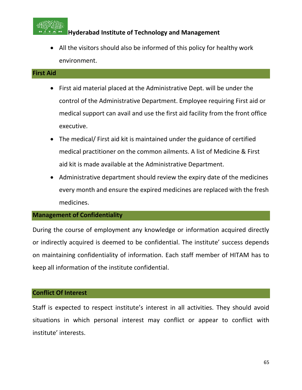

• All the visitors should also be informed of this policy for healthy work environment.

#### **First Aid**

- First aid material placed at the Administrative Dept. will be under the control of the Administrative Department. Employee requiring First aid or medical support can avail and use the first aid facility from the front office executive.
- The medical/ First aid kit is maintained under the guidance of certified medical practitioner on the common ailments. A list of Medicine & First aid kit is made available at the Administrative Department.
- Administrative department should review the expiry date of the medicines every month and ensure the expired medicines are replaced with the fresh medicines.

## **Management of Confidentiality**

During the course of employment any knowledge or information acquired directly or indirectly acquired is deemed to be confidential. The institute' success depends on maintaining confidentiality of information. Each staff member of HITAM has to keep all information of the institute confidential.

#### **Conflict Of Interest**

Staff is expected to respect institute's interest in all activities. They should avoid situations in which personal interest may conflict or appear to conflict with institute' interests.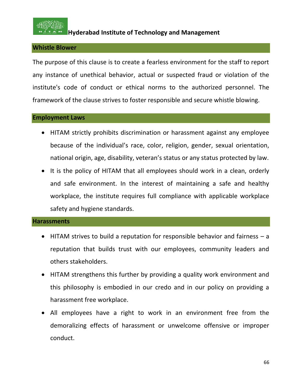

#### **Whistle Blower**

The purpose of this clause is to create a fearless environment for the staff to report any instance of unethical behavior, actual or suspected fraud or violation of the institute's code of conduct or ethical norms to the authorized personnel. The framework of the clause strives to foster responsible and secure whistle blowing.

#### **Employment Laws**

- HITAM strictly prohibits discrimination or harassment against any employee because of the individual's race, color, religion, gender, sexual orientation, national origin, age, disability, veteran's status or any status protected by law.
- It is the policy of HITAM that all employees should work in a clean, orderly and safe environment. In the interest of maintaining a safe and healthy workplace, the institute requires full compliance with applicable workplace safety and hygiene standards.

#### **Harassments**

- HITAM strives to build a reputation for responsible behavior and fairness a reputation that builds trust with our employees, community leaders and others stakeholders.
- HITAM strengthens this further by providing a quality work environment and this philosophy is embodied in our credo and in our policy on providing a harassment free workplace.
- All employees have a right to work in an environment free from the demoralizing effects of harassment or unwelcome offensive or improper conduct.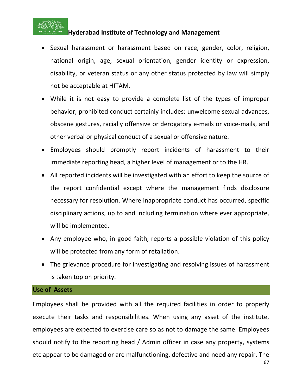

- Sexual harassment or harassment based on race, gender, color, religion, national origin, age, sexual orientation, gender identity or expression, disability, or veteran status or any other status protected by law will simply not be acceptable at HITAM.
- While it is not easy to provide a complete list of the types of improper behavior, prohibited conduct certainly includes: unwelcome sexual advances, obscene gestures, racially offensive or derogatory e-mails or voice-mails, and other verbal or physical conduct of a sexual or offensive nature.
- Employees should promptly report incidents of harassment to their immediate reporting head, a higher level of management or to the HR.
- All reported incidents will be investigated with an effort to keep the source of the report confidential except where the management finds disclosure necessary for resolution. Where inappropriate conduct has occurred, specific disciplinary actions, up to and including termination where ever appropriate, will be implemented.
- Any employee who, in good faith, reports a possible violation of this policy will be protected from any form of retaliation.
- The grievance procedure for investigating and resolving issues of harassment is taken top on priority.

#### **Use of Assets**

Employees shall be provided with all the required facilities in order to properly execute their tasks and responsibilities. When using any asset of the institute, employees are expected to exercise care so as not to damage the same. Employees should notify to the reporting head / Admin officer in case any property, systems etc appear to be damaged or are malfunctioning, defective and need any repair. The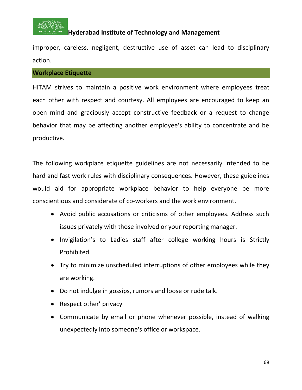

improper, careless, negligent, destructive use of asset can lead to disciplinary action.

#### **Workplace Etiquette**

HITAM strives to maintain a positive work environment where employees treat each other with respect and courtesy. All employees are encouraged to keep an open mind and graciously accept constructive feedback or a request to change behavior that may be affecting another employee's ability to concentrate and be productive.

The following workplace etiquette guidelines are not necessarily intended to be hard and fast work rules with disciplinary consequences. However, these guidelines would aid for appropriate workplace behavior to help everyone be more conscientious and considerate of co-workers and the work environment.

- Avoid public accusations or criticisms of other employees. Address such issues privately with those involved or your reporting manager.
- Invigilation's to Ladies staff after college working hours is Strictly Prohibited.
- Try to minimize unscheduled interruptions of other employees while they are working.
- Do not indulge in gossips, rumors and loose or rude talk.
- Respect other' privacy
- Communicate by email or phone whenever possible, instead of walking unexpectedly into someone's office or workspace.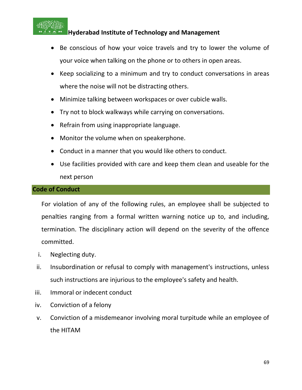

- Be conscious of how your voice travels and try to lower the volume of your voice when talking on the phone or to others in open areas.
- Keep socializing to a minimum and try to conduct conversations in areas where the noise will not be distracting others.
- Minimize talking between workspaces or over cubicle walls.
- Try not to block walkways while carrying on conversations.
- Refrain from using inappropriate language.
- Monitor the volume when on speakerphone.
- Conduct in a manner that you would like others to conduct.
- Use facilities provided with care and keep them clean and useable for the next person

#### **Code of Conduct**

For violation of any of the following rules, an employee shall be subjected to penalties ranging from a formal written warning notice up to, and including, termination. The disciplinary action will depend on the severity of the offence committed.

- i. Neglecting duty.
- ii. Insubordination or refusal to comply with management's instructions, unless such instructions are injurious to the employee's safety and health.
- iii. Immoral or indecent conduct
- iv. Conviction of a felony
- v. Conviction of a misdemeanor involving moral turpitude while an employee of the HITAM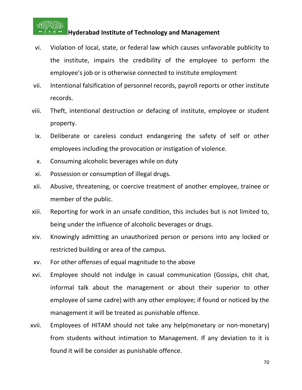

- vi. Violation of local, state, or federal law which causes unfavorable publicity to the institute, impairs the credibility of the employee to perform the employee's job or is otherwise connected to institute employment
- vii. Intentional falsification of personnel records, payroll reports or other institute records.
- viii. Theft, intentional destruction or defacing of institute, employee or student property.
- ix. Deliberate or careless conduct endangering the safety of self or other employees including the provocation or instigation of violence.
- x. Consuming alcoholic beverages while on duty
- xi. Possession or consumption of illegal drugs.
- xii. Abusive, threatening, or coercive treatment of another employee, trainee or member of the public.
- xiii. Reporting for work in an unsafe condition, this includes but is not limited to, being under the influence of alcoholic beverages or drugs.
- xiv. Knowingly admitting an unauthorized person or persons into any locked or restricted building or area of the campus.
- xv. For other offenses of equal magnitude to the above
- xvi. Employee should not indulge in casual communication (Gossips, chit chat, informal talk about the management or about their superior to other employee of same cadre) with any other employee; if found or noticed by the management it will be treated as punishable offence.
- xvii. Employees of HITAM should not take any help(monetary or non-monetary) from students without intimation to Management. If any deviation to it is found it will be consider as punishable offence.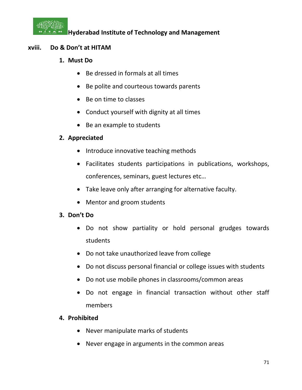

## **xviii. Do & Don't at HITAM**

- **1. Must Do**
	- Be dressed in formals at all times
	- Be polite and courteous towards parents
	- Be on time to classes
	- Conduct yourself with dignity at all times
	- Be an example to students

# **2. Appreciated**

- Introduce innovative teaching methods
- Facilitates students participations in publications, workshops, conferences, seminars, guest lectures etc…
- Take leave only after arranging for alternative faculty.
- Mentor and groom students

## **3. Don't Do**

- Do not show partiality or hold personal grudges towards students
- Do not take unauthorized leave from college
- Do not discuss personal financial or college issues with students
- Do not use mobile phones in classrooms/common areas
- Do not engage in financial transaction without other staff members

## **4. Prohibited**

- Never manipulate marks of students
- Never engage in arguments in the common areas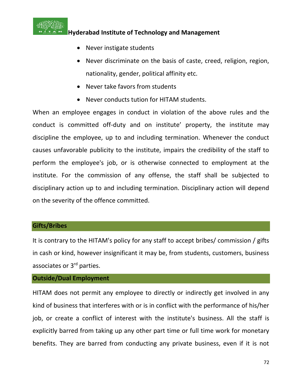

- Never instigate students
- Never discriminate on the basis of caste, creed, religion, region, nationality, gender, political affinity etc.
- Never take favors from students
- Never conducts tution for HITAM students.

When an employee engages in conduct in violation of the above rules and the conduct is committed off-duty and on institute' property, the institute may discipline the employee, up to and including termination. Whenever the conduct causes unfavorable publicity to the institute, impairs the credibility of the staff to perform the employee's job, or is otherwise connected to employment at the institute. For the commission of any offense, the staff shall be subjected to disciplinary action up to and including termination. Disciplinary action will depend on the severity of the offence committed.

#### **Gifts/Bribes**

It is contrary to the HITAM's policy for any staff to accept bribes/ commission / gifts in cash or kind, however insignificant it may be, from students, customers, business associates or 3rd parties.

## **Outside/Dual Employment**

HITAM does not permit any employee to directly or indirectly get involved in any kind of business that interferes with or is in conflict with the performance of his/her job, or create a conflict of interest with the institute's business. All the staff is explicitly barred from taking up any other part time or full time work for monetary benefits. They are barred from conducting any private business, even if it is not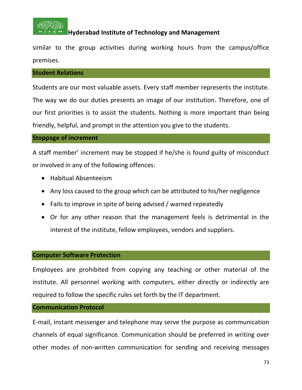

similar to the group activities during working hours from the campus/office premises.

#### **Student Relations**

Students are our most valuable assets. Every staff member represents the institute. The way we do our duties presents an image of our institution. Therefore, one of our first priorities is to assist the students. Nothing is more important than being friendly, helpful, and prompt in the attention you give to the students.

#### **Stoppage of increment**

A staff member' increment may be stopped if he/she is found guilty of misconduct or involved in any of the following offences:

- Habitual Absenteeism
- Any loss caused to the group which can be attributed to his/her negligence
- Fails to improve in spite of being advised / warned repeatedly
- Or for any other reason that the management feels is detrimental in the interest of the institute, fellow employees, vendors and suppliers.

#### **Computer Software Protection**

Employees are prohibited from copying any teaching or other material of the institute. All personnel working with computers, either directly or indirectly are required to follow the specific rules set forth by the IT department.

#### **Communication Protocol**

E-mail, instant messenger and telephone may serve the purpose as communication channels of equal significance. Communication should be preferred in writing over other modes of non-written communication for sending and receiving messages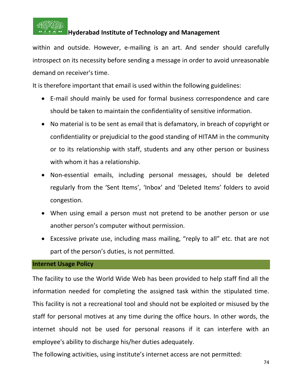

within and outside. However, e-mailing is an art. And sender should carefully introspect on its necessity before sending a message in order to avoid unreasonable demand on receiver's time.

It is therefore important that email is used within the following guidelines:

- E-mail should mainly be used for formal business correspondence and care should be taken to maintain the confidentiality of sensitive information.
- No material is to be sent as email that is defamatory, in breach of copyright or confidentiality or prejudicial to the good standing of HITAM in the community or to its relationship with staff, students and any other person or business with whom it has a relationship.
- Non-essential emails, including personal messages, should be deleted regularly from the 'Sent Items', 'Inbox' and 'Deleted Items' folders to avoid congestion.
- When using email a person must not pretend to be another person or use another person's computer without permission.
- Excessive private use, including mass mailing, "reply to all" etc. that are not part of the person's duties, is not permitted.

## **Internet Usage Policy**

The facility to use the World Wide Web has been provided to help staff find all the information needed for completing the assigned task within the stipulated time. This facility is not a recreational tool and should not be exploited or misused by the staff for personal motives at any time during the office hours. In other words, the internet should not be used for personal reasons if it can interfere with an employee's ability to discharge his/her duties adequately.

The following activities, using institute's internet access are not permitted: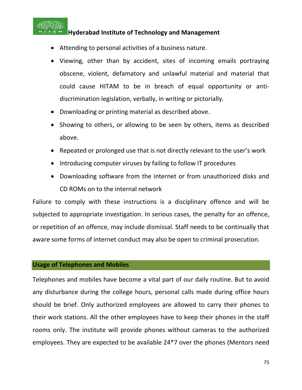

- Attending to personal activities of a business nature.
- Viewing, other than by accident, sites of incoming emails portraying obscene, violent, defamatory and unlawful material and material that could cause HITAM to be in breach of equal opportunity or antidiscrimination legislation, verbally, in writing or pictorially.
- Downloading or printing material as described above.
- Showing to others, or allowing to be seen by others, items as described above.
- Repeated or prolonged use that is not directly relevant to the user's work
- Introducing computer viruses by failing to follow IT procedures
- Downloading software from the internet or from unauthorized disks and CD ROMs on to the internal network

Failure to comply with these instructions is a disciplinary offence and will be subjected to appropriate investigation. In serious cases, the penalty for an offence, or repetition of an offence, may include dismissal. Staff needs to be continually that aware some forms of internet conduct may also be open to criminal prosecution.

#### **Usage of Telephones and Mobiles**

Telephones and mobiles have become a vital part of our daily routine. But to avoid any disturbance during the college hours, personal calls made during office hours should be brief. Only authorized employees are allowed to carry their phones to their work stations. All the other employees have to keep their phones in the staff rooms only. The institute will provide phones without cameras to the authorized employees. They are expected to be available 24\*7 over the phones (Mentors need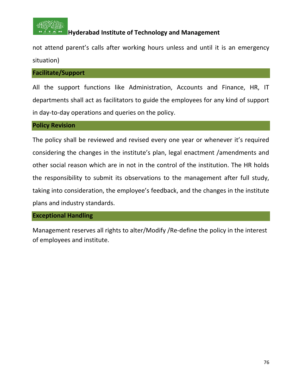

not attend parent's calls after working hours unless and until it is an emergency situation)

#### **Facilitate/Support**

All the support functions like Administration, Accounts and Finance, HR, IT departments shall act as facilitators to guide the employees for any kind of support in day-to-day operations and queries on the policy.

#### **Policy Revision**

The policy shall be reviewed and revised every one year or whenever it's required considering the changes in the institute's plan, legal enactment /amendments and other social reason which are in not in the control of the institution. The HR holds the responsibility to submit its observations to the management after full study, taking into consideration, the employee's feedback, and the changes in the institute plans and industry standards.

#### **Exceptional Handling**

Management reserves all rights to alter/Modify /Re-define the policy in the interest of employees and institute.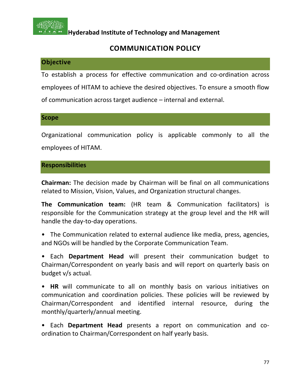

# **COMMUNICATION POLICY**

## **Objective**

To establish a process for effective communication and co-ordination across employees of HITAM to achieve the desired objectives. To ensure a smooth flow of communication across target audience – internal and external.

**Scope**

Organizational communication policy is applicable commonly to all the employees of HITAM.

## **Responsibilities**

**Chairman:** The decision made by Chairman will be final on all communications related to Mission, Vision, Values, and Organization structural changes.

**The Communication team:** (HR team & Communication facilitators) is responsible for the Communication strategy at the group level and the HR will handle the day-to-day operations.

• The Communication related to external audience like media, press, agencies, and NGOs will be handled by the Corporate Communication Team.

• Each **Department Head** will present their communication budget to Chairman/Correspondent on yearly basis and will report on quarterly basis on budget v/s actual.

• **HR** will communicate to all on monthly basis on various initiatives on communication and coordination policies. These policies will be reviewed by Chairman/Correspondent and identified internal resource, during the monthly/quarterly/annual meeting.

• Each **Department Head** presents a report on communication and coordination to Chairman/Correspondent on half yearly basis.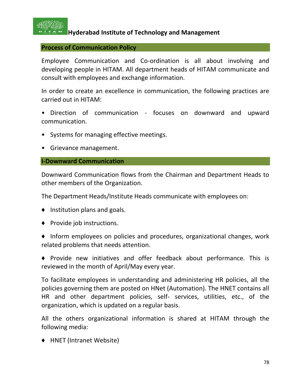

#### **Process of Communication Policy**

Employee Communication and Co-ordination is all about involving and developing people in HITAM. All department heads of HITAM communicate and consult with employees and exchange information.

In order to create an excellence in communication, the following practices are carried out in HITAM:

- Direction of communication focuses on downward and upward communication.
- Systems for managing effective meetings.
- Grievance management.

#### **I-Downward Communication**

Downward Communication flows from the Chairman and Department Heads to other members of the Organization.

The Department Heads/Institute Heads communicate with employees on:

- ♦ Institution plans and goals.
- ♦ Provide job instructions.
- ♦ Inform employees on policies and procedures, organizational changes, work related problems that needs attention.

♦ Provide new initiatives and offer feedback about performance. This is reviewed in the month of April/May every year.

To facilitate employees in understanding and administering HR policies, all the policies governing them are posted on HNet (Automation). The HNET contains all HR and other department policies, self- services, utilities, etc., of the organization, which is updated on a regular basis.

All the others organizational information is shared at HITAM through the following media:

♦ HNET (Intranet Website)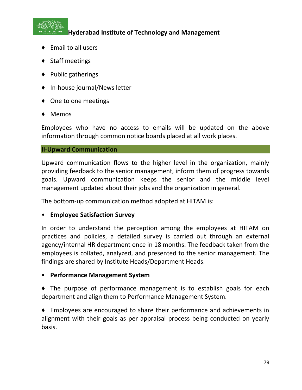

- ♦ Email to all users
- ♦ Staff meetings
- ♦ Public gatherings
- ♦ In-house journal/News letter
- ♦ One to one meetings
- ♦ Memos

Employees who have no access to emails will be updated on the above information through common notice boards placed at all work places.

#### **II-Upward Communication**

Upward communication flows to the higher level in the organization, mainly providing feedback to the senior management, inform them of progress towards goals. Upward communication keeps the senior and the middle level management updated about their jobs and the organization in general.

The bottom-up communication method adopted at HITAM is:

## • **Employee Satisfaction Survey**

In order to understand the perception among the employees at HITAM on practices and policies, a detailed survey is carried out through an external agency/internal HR department once in 18 months. The feedback taken from the employees is collated, analyzed, and presented to the senior management. The findings are shared by Institute Heads/Department Heads.

## • **Performance Management System**

♦ The purpose of performance management is to establish goals for each department and align them to Performance Management System.

♦ Employees are encouraged to share their performance and achievements in alignment with their goals as per appraisal process being conducted on yearly basis.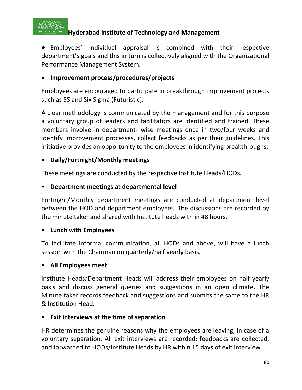

♦ Employees' individual appraisal is combined with their respective department's goals and this in turn is collectively aligned with the Organizational Performance Management System.

## • **Improvement process/procedures/projects**

Employees are encouraged to participate in breakthrough improvement projects such as 5S and Six Sigma (Futuristic).

A clear methodology is communicated by the management and for this purpose a voluntary group of leaders and facilitators are identified and trained. These members involve in department- wise meetings once in two/four weeks and identify improvement processes, collect feedbacks as per their guidelines. This initiative provides an opportunity to the employees in identifying breakthroughs.

## • **Daily/Fortnight/Monthly meetings**

These meetings are conducted by the respective Institute Heads/HODs.

## • **Department meetings at departmental level**

Fortnight/Monthly department meetings are conducted at department level between the HOD and department employees. The discussions are recorded by the minute taker and shared with Institute heads with in 48 hours.

## • **Lunch with Employees**

To facilitate informal communication, all HODs and above, will have a lunch session with the Chairman on quarterly/half yearly basis.

## • **All Employees meet**

Institute Heads/Department Heads will address their employees on half yearly basis and discuss general queries and suggestions in an open climate. The Minute taker records feedback and suggestions and submits the same to the HR & Institution Head.

## • **Exit interviews at the time of separation**

HR determines the genuine reasons why the employees are leaving, in case of a voluntary separation. All exit interviews are recorded; feedbacks are collected, and forwarded to HODs/Institute Heads by HR within 15 days of exit interview.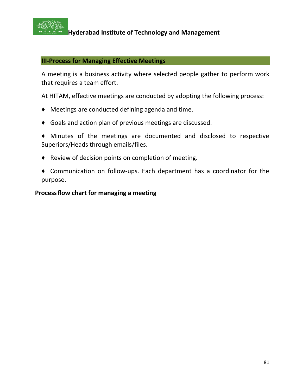

#### **III-Process for Managing Effective Meetings**

A meeting is a business activity where selected people gather to perform work that requires a team effort.

At HITAM, effective meetings are conducted by adopting the following process:

- ♦ Meetings are conducted defining agenda and time.
- ♦ Goals and action plan of previous meetings are discussed.
- ♦ Minutes of the meetings are documented and disclosed to respective Superiors/Heads through emails/files.
- ♦ Review of decision points on completion of meeting.
- ♦ Communication on follow-ups. Each department has a coordinator for the purpose.

#### **Processflow chart for managing a meeting**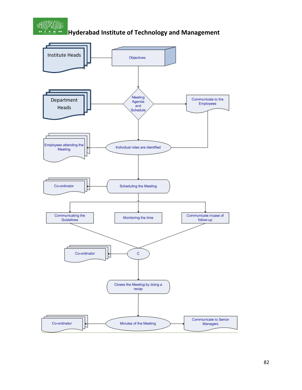

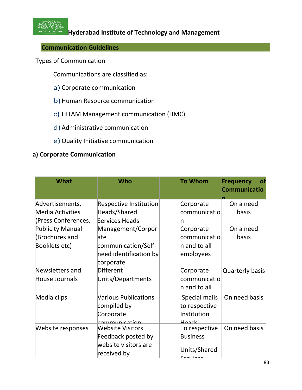

## **Communication Guidelines**

Types of Communication

Communications are classified as:

- a) Corporate communication
- b) Human Resource communication
- c) HITAM Management communication (HMC)
- d) Administrative communication
- e) Quality Initiative communication

#### **a) Corporate Communication**

| <b>What</b>             | Who                           | <b>To Whom</b>  | <b>Frequency</b><br>оt<br><b>Communicatio</b> |
|-------------------------|-------------------------------|-----------------|-----------------------------------------------|
| Advertisements,         | <b>Respective Institution</b> | Corporate       | On a need                                     |
| Media Activities        | Heads/Shared                  | communicatio    | basis                                         |
| (Press Conferences,     | Services Heads                | n               |                                               |
| <b>Publicity Manual</b> | Management/Corpor             | Corporate       | On a need                                     |
| (Brochures and          | late                          | communicatio    | basis                                         |
| Booklets etc)           | communication/Self-           | n and to all    |                                               |
|                         | need identification by        | employees       |                                               |
|                         | corporate                     |                 |                                               |
| Newsletters and         | Different                     | Corporate       | <b>Quarterly basis</b>                        |
| House Journals          | Units/Departments             | communicatio    |                                               |
|                         |                               | n and to all    |                                               |
| Media clips             | <b>Various Publications</b>   | Special mails   | On need basis                                 |
|                         | compiled by                   | to respective   |                                               |
|                         | Corporate                     | Institution     |                                               |
|                         | communication                 | Heads           |                                               |
| Website responses       | <b>Website Visitors</b>       | To respective   | On need basis                                 |
|                         | Feedback posted by            | <b>Business</b> |                                               |
|                         | website visitors are          |                 |                                               |
|                         | received by                   | Units/Shared    |                                               |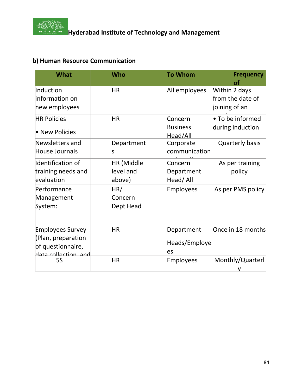

# **b) Human Resource Communication**

| <b>What</b>                                                                               | Who                               | <b>To Whom</b>                         | <b>Frequency</b><br>оf                             |
|-------------------------------------------------------------------------------------------|-----------------------------------|----------------------------------------|----------------------------------------------------|
| Induction<br>information on<br>new employees                                              | <b>HR</b>                         | All employees                          | Within 2 days<br>from the date of<br>joining of an |
| <b>HR Policies</b><br>• New Policies                                                      | <b>HR</b>                         | Concern<br><b>Business</b><br>Head/All | • To be informed<br>during induction               |
| Newsletters and<br>House Journals                                                         | Department<br>S                   | Corporate<br>communication             | <b>Quarterly basis</b>                             |
| Identification of<br>training needs and<br>evaluation                                     | HR (Middle<br>level and<br>above) | Concern<br>Department<br>Head/All      | As per training<br>policy                          |
| Performance<br>Management<br>System:                                                      | HR/<br>Concern<br>Dept Head       | <b>Employees</b>                       | As per PMS policy                                  |
| <b>Employees Survey</b><br>(Plan, preparation<br>of questionnaire,<br>hata collaction and | <b>HR</b>                         | Department<br>Heads/Employe<br>es      | Once in 18 months                                  |
| <b>5S</b>                                                                                 | <b>HR</b>                         | Employees                              | Monthly/Quarterl                                   |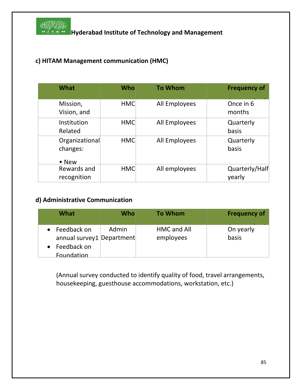

## **c) HITAM Management communication (HMC)**

| What                                        | <b>Who</b> | <b>To Whom</b> | <b>Frequency of</b>      |
|---------------------------------------------|------------|----------------|--------------------------|
| Mission,<br>Vision, and                     | <b>HMC</b> | All Employees  | Once in 6<br>months      |
| Institution<br>Related                      | <b>HMC</b> | All Employees  | Quarterly<br>basis       |
| Organizational<br>changes:<br>$\bullet$ New | <b>HMC</b> | All Employees  | Quarterly<br>basis       |
| Rewards and<br>recognition                  | <b>HMC</b> | All employees  | Quarterly/Half<br>yearly |

#### **d) Administrative Communication**

| What                                                                             | <b>Who</b> | <b>To Whom</b>                  | <b>Frequency of</b> |
|----------------------------------------------------------------------------------|------------|---------------------------------|---------------------|
| Feedback on<br>annual survey1   Department  <br>Feedback on<br><b>Foundation</b> | Admin      | <b>HMC and All</b><br>employees | On yearly<br>basis  |

(Annual survey conducted to identify quality of food, travel arrangements, housekeeping, guesthouse accommodations, workstation, etc.)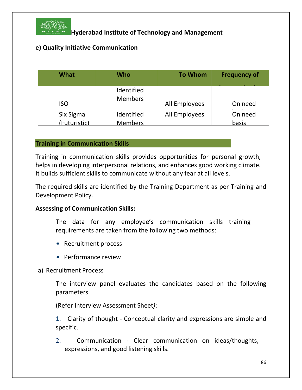

## **e) Quality Initiative Communication**

| <b>What</b>  | Who                          | <b>To Whom</b> | <b>Frequency of</b> |
|--------------|------------------------------|----------------|---------------------|
| <b>ISO</b>   | Identified<br><b>Members</b> | All Employees  | On need             |
| Six Sigma    | Identified                   | All Employees  | On need             |
| (Futuristic) | <b>Members</b>               |                | basis               |

#### **Training in Communication Skills**

Training in communication skills provides opportunities for personal growth, helps in developing interpersonal relations, and enhances good working climate. It builds sufficient skills to communicate without any fear at all levels.

The required skills are identified by the Training Department as per Training and Development Policy.

#### **Assessing of Communication Skills:**

The data for any employee's communication skills training requirements are taken from the following two methods:

- Recruitment process
- Performance review

#### a) Recruitment Process

The interview panel evaluates the candidates based on the following parameters

(Refer Interview Assessment Sheet*)*:

1. Clarity of thought - Conceptual clarity and expressions are simple and specific.

2. Communication - Clear communication on ideas/thoughts, expressions, and good listening skills.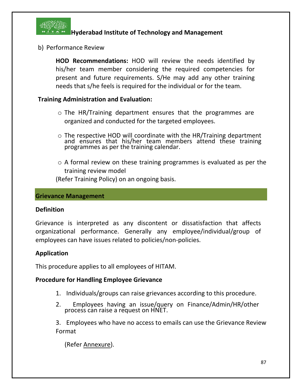

b) Performance Review

**HOD Recommendations:** HOD will review the needs identified by his/her team member considering the required competencies for present and future requirements. S/He may add any other training needs that s/he feels is required for the individual or for the team.

#### **Training Administration and Evaluation:**

- o The HR/Training department ensures that the programmes are organized and conducted for the targeted employees.
- o The respective HOD will coordinate with the HR/Training department and ensures that his/her team members attend these training programmes as per the training calendar.
- o A formal review on these training programmes is evaluated as per the training review model

(Refer Training Policy) on an ongoing basis.

#### **Grievance Management**

#### **Definition**

Grievance is interpreted as any discontent or dissatisfaction that affects organizational performance. Generally any employee/individual/group of employees can have issues related to policies/non-policies.

## **Application**

This procedure applies to all employees of HITAM.

#### **Procedure for Handling Employee Grievance**

- 1. Individuals/groups can raise grievances according to this procedure.
- 2. Employees having an issue/query on Finance/Admin/HR/other process can raise a request on HNET.

3. Employees who have no access to emails can use the Grievance Review Format

(Refer Annexure).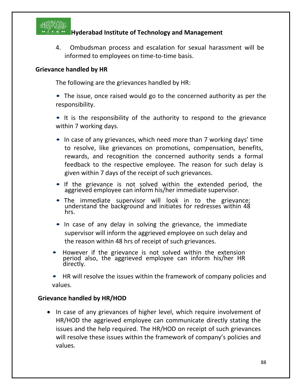

4. Ombudsman process and escalation for sexual harassment will be informed to employees on time-to-time basis.

#### **Grievance handled by HR**

The following are the grievances handled by HR:

• The issue, once raised would go to the concerned authority as per the responsibility.

• It is the responsibility of the authority to respond to the grievance within 7 working days.

- In case of any grievances, which need more than 7 working days' time to resolve, like grievances on promotions, compensation, benefits, rewards, and recognition the concerned authority sends a formal feedback to the respective employee. The reason for such delay is given within 7 days of the receipt of such grievances.
- If the grievance is not solved within the extended period, the aggrieved employee can inform his/her immediate supervisor.
- The immediate supervisor will look in to the grievance; understand the background and initiates for redresses within 48 hrs.
- In case of any delay in solving the grievance, the immediate supervisor will inform the aggrieved employee on such delay and the reason within 48 hrs of receipt of such grievances.
- However if the grievance is not solved within the extension period also, the aggrieved employee can inform his/her HR directly.

• HR will resolve the issues within the framework of company policies and values.

## **Grievance handled by HR/HOD**

• In case of any grievances of higher level, which require involvement of HR/HOD the aggrieved employee can communicate directly stating the issues and the help required. The HR/HOD on receipt of such grievances will resolve these issues within the framework of company's policies and values.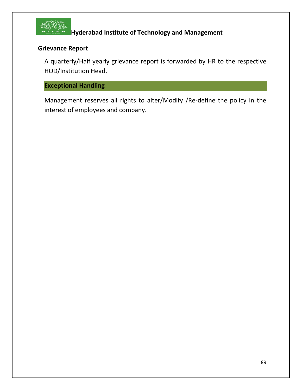

## **Grievance Report**

A quarterly/Half yearly grievance report is forwarded by HR to the respective HOD/Institution Head.

## **Exceptional Handling**

Management reserves all rights to alter/Modify /Re-define the policy in the interest of employees and company.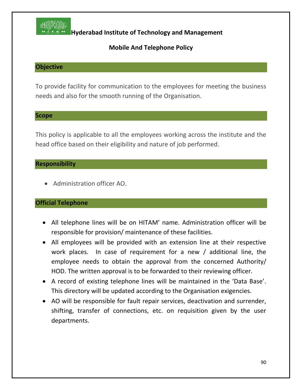

## **Mobile And Telephone Policy**

## **Objective**

To provide facility for communication to the employees for meeting the business needs and also for the smooth running of the Organisation.

#### **Scope**

This policy is applicable to all the employees working across the institute and the head office based on their eligibility and nature of job performed.

#### **Responsibility**

• Administration officer AO.

## **Official Telephone**

- All telephone lines will be on HITAM' name. Administration officer will be responsible for provision/ maintenance of these facilities.
- All employees will be provided with an extension line at their respective work places. In case of requirement for a new / additional line, the employee needs to obtain the approval from the concerned Authority/ HOD. The written approval is to be forwarded to their reviewing officer.
- A record of existing telephone lines will be maintained in the 'Data Base'. This directory will be updated according to the Organisation exigencies.
- AO will be responsible for fault repair services, deactivation and surrender, shifting, transfer of connections, etc. on requisition given by the user departments.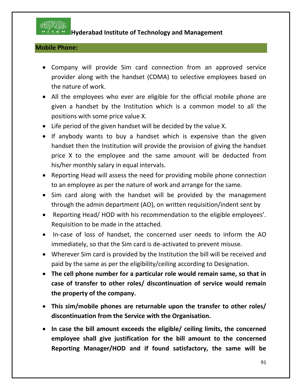

## **Mobile Phone:**

- Company will provide Sim card connection from an approved service provider along with the handset (CDMA) to selective employees based on the nature of work.
- All the employees who ever are eligible for the official mobile phone are given a handset by the Institution which is a common model to all the positions with some price value X.
- Life period of the given handset will be decided by the value X.
- If anybody wants to buy a handset which is expensive than the given handset then the Institution will provide the provision of giving the handset price X to the employee and the same amount will be deducted from his/her monthly salary in equal intervals.
- Reporting Head will assess the need for providing mobile phone connection to an employee as per the nature of work and arrange for the same.
- Sim card along with the handset will be provided by the management through the admin department (AO), on written requisition/indent sent by
- Reporting Head/ HOD with his recommendation to the eligible employees'. Requisition to be made in the attached.
- In-case of loss of handset, the concerned user needs to inform the AO immediately, so that the Sim card is de-activated to prevent misuse.
- Wherever Sim card is provided by the Institution the bill will be received and paid by the same as per the eligibility/ceiling according to Designation.
- **The cell phone number for a particular role would remain same, so that in case of transfer to other roles/ discontinuation of service would remain the property of the company.**
- **This sim/mobile phones are returnable upon the transfer to other roles/ discontinuation from the Service with the Organisation.**
- **In case the bill amount exceeds the eligible/ ceiling limits, the concerned employee shall give justification for the bill amount to the concerned Reporting Manager/HOD and if found satisfactory, the same will be**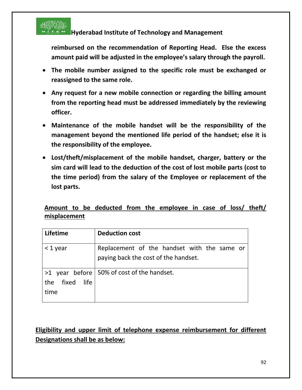

**reimbursed on the recommendation of Reporting Head. Else the excess amount paid will be adjusted in the employee's salary through the payroll.**

- **The mobile number assigned to the specific role must be exchanged or reassigned to the same role.**
- **Any request for a new mobile connection or regarding the billing amount from the reporting head must be addressed immediately by the reviewing officer.**
- **Maintenance of the mobile handset will be the responsibility of the management beyond the mentioned life period of the handset; else it is the responsibility of the employee.**
- **Lost/theft/misplacement of the mobile handset, charger, battery or the sim card will lead to the deduction of the cost of lost mobile parts (cost to the time period) from the salary of the Employee or replacement of the lost parts.**

## **Amount to be deducted from the employee in case of loss/ theft/ misplacement**

| Lifetime                     | <b>Deduction cost</b>                                                               |
|------------------------------|-------------------------------------------------------------------------------------|
| $<$ 1 year                   | Replacement of the handset with the same or<br>paying back the cost of the handset. |
| fixed<br>life<br>the<br>time | $>1$ year before   50% of cost of the handset.                                      |

# **Eligibility and upper limit of telephone expense reimbursement for different Designations shall be as below:**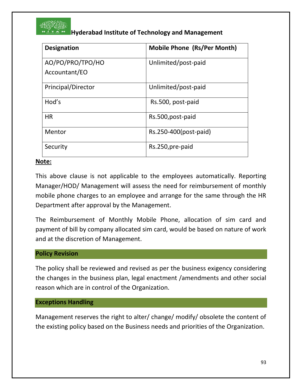

| <b>Designation</b> | <b>Mobile Phone (Rs/Per Month)</b> |
|--------------------|------------------------------------|
| AO/PO/PRO/TPO/HO   | Unlimited/post-paid                |
| Accountant/EO      |                                    |
| Principal/Director | Unlimited/post-paid                |
| Hod's              | Rs.500, post-paid                  |
| <b>HR</b>          | Rs.500, post-paid                  |
| Mentor             | Rs.250-400(post-paid)              |
| Security           | Rs.250, pre-paid                   |

## **Note:**

This above clause is not applicable to the employees automatically. Reporting Manager/HOD/ Management will assess the need for reimbursement of monthly mobile phone charges to an employee and arrange for the same through the HR Department after approval by the Management.

The Reimbursement of Monthly Mobile Phone, allocation of sim card and payment of bill by company allocated sim card, would be based on nature of work and at the discretion of Management.

## **Policy Revision**

The policy shall be reviewed and revised as per the business exigency considering the changes in the business plan, legal enactment /amendments and other social reason which are in control of the Organization.

#### **Exceptions Handling**

Management reserves the right to alter/ change/ modify/ obsolete the content of the existing policy based on the Business needs and priorities of the Organization.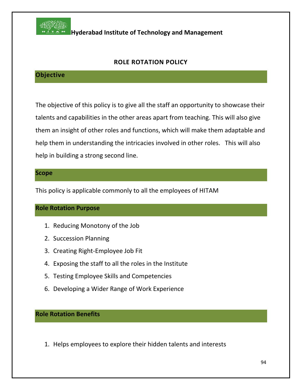

## **ROLE ROTATION POLICY**

## **Objective**

The objective of this policy is to give all the staff an opportunity to showcase their talents and capabilities in the other areas apart from teaching. This will also give them an insight of other roles and functions, which will make them adaptable and help them in understanding the intricacies involved in other roles. This will also help in building a strong second line.

#### **Scope**

This policy is applicable commonly to all the employees of HITAM

#### **Role Rotation Purpose**

- 1. Reducing Monotony of the Job
- 2. Succession Planning
- 3. Creating Right-Employee Job Fit
- 4. Exposing the staff to all the roles in the Institute
- 5. Testing Employee Skills and Competencies
- 6. Developing a Wider Range of Work Experience

**Role Rotation Benefits**

1. Helps employees to explore their hidden talents and interests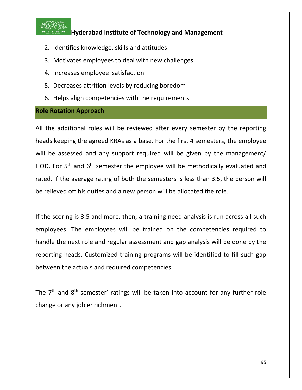

- 2. Identifies knowledge, skills and attitudes
- 3. Motivates employees to deal with new challenges
- 4. Increases employee satisfaction
- 5. Decreases attrition levels by reducing boredom
- 6. Helps align competencies with the requirements

#### **Role Rotation Approach**

All the additional roles will be reviewed after every semester by the reporting heads keeping the agreed KRAs as a base. For the first 4 semesters, the employee will be assessed and any support required will be given by the management/ HOD. For 5<sup>th</sup> and 6<sup>th</sup> semester the employee will be methodically evaluated and rated. If the average rating of both the semesters is less than 3.5, the person will be relieved off his duties and a new person will be allocated the role.

If the scoring is 3.5 and more, then, a training need analysis is run across all such employees. The employees will be trained on the competencies required to handle the next role and regular assessment and gap analysis will be done by the reporting heads. Customized training programs will be identified to fill such gap between the actuals and required competencies.

The  $7<sup>th</sup>$  and  $8<sup>th</sup>$  semester' ratings will be taken into account for any further role change or any job enrichment.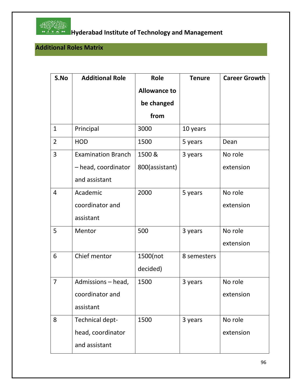

# **Hosting Transform of Technology and Management**<br>The Linear Hyderabad Institute of Technology and Management

# **Additional Roles Matrix**

| S.No           | <b>Additional Role</b>    | <b>Role</b>         | <b>Tenure</b> | <b>Career Growth</b> |
|----------------|---------------------------|---------------------|---------------|----------------------|
|                |                           | <b>Allowance to</b> |               |                      |
|                |                           | be changed          |               |                      |
|                |                           | from                |               |                      |
| $\mathbf{1}$   | Principal                 | 3000                | 10 years      |                      |
| $\overline{2}$ | <b>HOD</b>                | 1500                | 5 years       | Dean                 |
| 3              | <b>Examination Branch</b> | 1500 &              | 3 years       | No role              |
|                | - head, coordinator       | 800(assistant)      |               | extension            |
|                | and assistant             |                     |               |                      |
| $\overline{4}$ | Academic                  | 2000                | 5 years       | No role              |
|                | coordinator and           |                     |               | extension            |
|                | assistant                 |                     |               |                      |
| 5              | Mentor                    | 500                 | 3 years       | No role              |
|                |                           |                     |               | extension            |
| 6              | Chief mentor              | 1500(not            | 8 semesters   |                      |
|                |                           | decided)            |               |                      |
| $\overline{7}$ | Admissions - head,        | 1500                | 3 years       | No role              |
|                | coordinator and           |                     |               | extension            |
|                | assistant                 |                     |               |                      |
| 8              | Technical dept-           | 1500                | 3 years       | No role              |
|                | head, coordinator         |                     |               | extension            |
|                | and assistant             |                     |               |                      |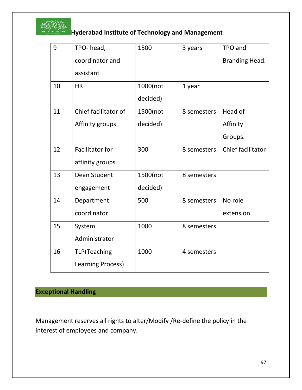

# **Hoston Reports**<br>**Hyderabad Institute of Technology and Management**

| 9  | TPO-head,                | 1500     | 3 years     | TPO and           |
|----|--------------------------|----------|-------------|-------------------|
|    | coordinator and          |          |             | Branding Head.    |
|    | assistant                |          |             |                   |
| 10 | <b>HR</b>                | 1000(not | 1 year      |                   |
|    |                          | decided) |             |                   |
| 11 | Chief facilitator of     | 1500(not | 8 semesters | Head of           |
|    | Affinity groups          | decided) |             | Affinity          |
|    |                          |          |             | Groups.           |
| 12 | <b>Facilitator for</b>   | 300      | 8 semesters | Chief facilitator |
|    | affinity groups          |          |             |                   |
| 13 | Dean Student             | 1500(not | 8 semesters |                   |
|    | engagement               | decided) |             |                   |
| 14 | Department               | 500      | 8 semesters | No role           |
|    | coordinator              |          |             | extension         |
| 15 | System                   | 1000     | 8 semesters |                   |
|    | Administrator            |          |             |                   |
| 16 | <b>TLP</b> (Teaching     | 1000     | 4 semesters |                   |
|    | <b>Learning Process)</b> |          |             |                   |

# **Exceptional Handling**

Management reserves all rights to alter/Modify /Re-define the policy in the interest of employees and company.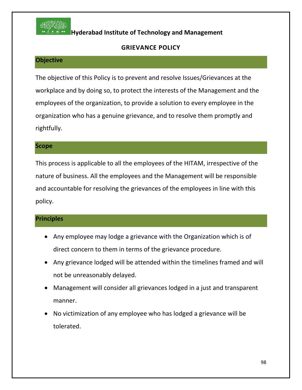

## **GRIEVANCE POLICY**

## **Objective**

The objective of this Policy is to prevent and resolve Issues/Grievances at the workplace and by doing so, to protect the interests of the Management and the employees of the organization, to provide a solution to every employee in the organization who has a genuine grievance, and to resolve them promptly and rightfully.

#### **Scope**

This process is applicable to all the employees of the HITAM, irrespective of the nature of business. All the employees and the Management will be responsible and accountable for resolving the grievances of the employees in line with this policy.

## **Principles**

- Any employee may lodge a grievance with the Organization which is of direct concern to them in terms of the grievance procedure.
- Any grievance lodged will be attended within the timelines framed and will not be unreasonably delayed.
- Management will consider all grievances lodged in a just and transparent manner.
- No victimization of any employee who has lodged a grievance will be tolerated.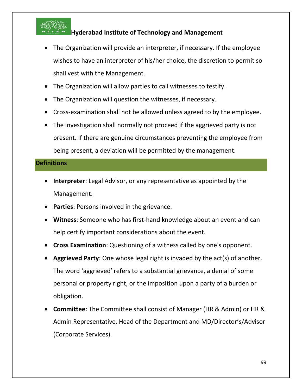

- The Organization will provide an interpreter, if necessary. If the employee wishes to have an interpreter of his/her choice, the discretion to permit so shall vest with the Management.
- The Organization will allow parties to call witnesses to testify.
- The Organization will question the witnesses, if necessary.
- Cross-examination shall not be allowed unless agreed to by the employee.
- The investigation shall normally not proceed if the aggrieved party is not present. If there are genuine circumstances preventing the employee from being present, a deviation will be permitted by the management.

#### **Definitions**

- **Interpreter**: Legal Advisor, or any representative as appointed by the Management.
- **Parties**: Persons involved in the grievance.
- **Witness**: Someone who has first-hand knowledge about an event and can help certify important considerations about the event.
- **Cross Examination**: Questioning of a witness called by one's opponent.
- **Aggrieved Party**: One whose legal right is invaded by the act(s) of another. The word 'aggrieved' refers to a substantial grievance, a denial of some personal or property right, or the imposition upon a party of a burden or obligation.
- **Committee**: The Committee shall consist of Manager (HR & Admin) or HR & Admin Representative, Head of the Department and MD/Director's/Advisor (Corporate Services).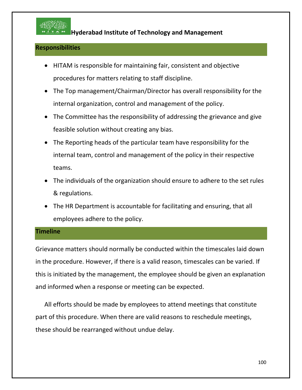

#### **Responsibilities**

- HITAM is responsible for maintaining fair, consistent and objective procedures for matters relating to staff discipline.
- The Top management/Chairman/Director has overall responsibility for the internal organization, control and management of the policy.
- The Committee has the responsibility of addressing the grievance and give feasible solution without creating any bias.
- The Reporting heads of the particular team have responsibility for the internal team, control and management of the policy in their respective teams.
- The individuals of the organization should ensure to adhere to the set rules & regulations.
- The HR Department is accountable for facilitating and ensuring, that all employees adhere to the policy.

#### **Timeline**

Grievance matters should normally be conducted within the timescales laid down in the procedure. However, if there is a valid reason, timescales can be varied. If this is initiated by the management, the employee should be given an explanation and informed when a response or meeting can be expected.

All efforts should be made by employees to attend meetings that constitute part of this procedure. When there are valid reasons to reschedule meetings, these should be rearranged without undue delay.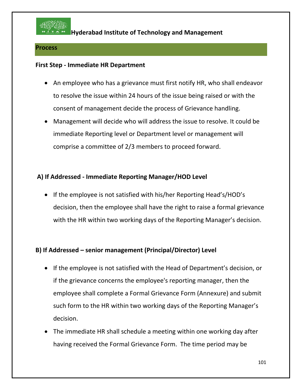

#### **Process**

#### **First Step - Immediate HR Department**

- An employee who has a grievance must first notify HR, who shall endeavor to resolve the issue within 24 hours of the issue being raised or with the consent of management decide the process of Grievance handling.
- Management will decide who will address the issue to resolve. It could be immediate Reporting level or Department level or management will comprise a committee of 2/3 members to proceed forward.

## **A) If Addressed - Immediate Reporting Manager/HOD Level**

• If the employee is not satisfied with his/her Reporting Head's/HOD's decision, then the employee shall have the right to raise a formal grievance with the HR within two working days of the Reporting Manager's decision.

## **B) If Addressed – senior management (Principal/Director) Level**

- If the employee is not satisfied with the Head of Department's decision, or if the grievance concerns the employee's reporting manager, then the employee shall complete a Formal Grievance Form (Annexure) and submit such form to the HR within two working days of the Reporting Manager's decision.
- The immediate HR shall schedule a meeting within one working day after having received the Formal Grievance Form. The time period may be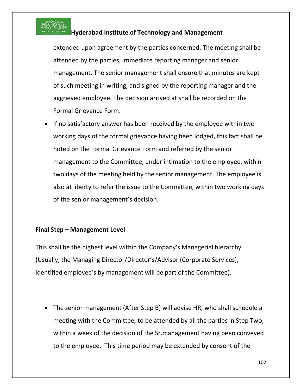

extended upon agreement by the parties concerned. The meeting shall be attended by the parties, immediate reporting manager and senior management. The senior management shall ensure that minutes are kept of such meeting in writing, and signed by the reporting manager and the aggrieved employee. The decision arrived at shall be recorded on the Formal Grievance Form.

• If no satisfactory answer has been received by the employee within two working days of the formal grievance having been lodged, this fact shall be noted on the Formal Grievance Form and referred by the senior management to the Committee, under intimation to the employee, within two days of the meeting held by the senior management. The employee is also at liberty to refer the issue to the Committee, within two working days of the senior management's decision.

## **Final Step – Management Level**

This shall be the highest level within the Company's Managerial hierarchy (Usually, the Managing Director/Director's/Advisor (Corporate Services), identified employee's by management will be part of the Committee).

• The senior management (After Step B) will advise HR, who shall schedule a meeting with the Committee, to be attended by all the parties in Step Two, within a week of the decision of the Sr.management having been conveyed to the employee. This time period may be extended by consent of the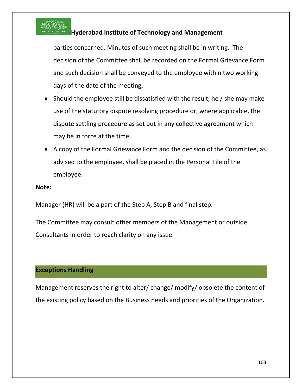

parties concerned. Minutes of such meeting shall be in writing. The decision of the Committee shall be recorded on the Formal Grievance Form and such decision shall be conveyed to the employee within two working days of the date of the meeting.

- Should the employee still be dissatisfied with the result, he / she may make use of the statutory dispute resolving procedure or, where applicable, the dispute settling procedure as set out in any collective agreement which may be in force at the time.
- A copy of the Formal Grievance Form and the decision of the Committee, as advised to the employee, shall be placed in the Personal File of the employee.

#### **Note:**

Manager (HR) will be a part of the Step A, Step B and final step.

The Committee may consult other members of the Management or outside Consultants in order to reach clarity on any issue.

## **Exceptions Handling**

Management reserves the right to alter/ change/ modify/ obsolete the content of the existing policy based on the Business needs and priorities of the Organization.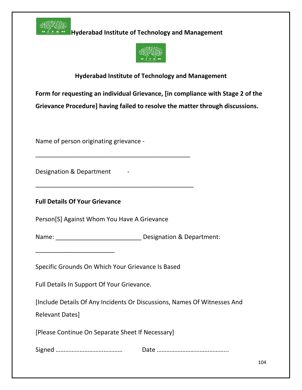



## **Hyderabad Institute of Technology and Management**

**Form for requesting an individual Grievance, [in compliance with Stage 2 of the Grievance Procedure] having failed to resolve the matter through discussions.**

Name of person originating grievance -

Designation & Department

**Full Details Of Your Grievance**

\_\_\_\_\_\_\_\_\_\_\_\_\_\_\_\_\_\_\_\_\_\_\_

Person[S] Against Whom You Have A Grievance

\_\_\_\_\_\_\_\_\_\_\_\_\_\_\_\_\_\_\_\_\_\_\_\_\_\_\_\_\_\_\_\_\_\_\_\_\_\_\_\_\_\_\_\_\_

\_\_\_\_\_\_\_\_\_\_\_\_\_\_\_\_\_\_\_\_\_\_\_\_\_\_\_\_\_\_\_\_\_\_\_\_\_\_\_\_\_\_\_\_\_\_

Name: Name: Name: Resignation & Department:

Specific Grounds On Which Your Grievance Is Based

Full Details In Support Of Your Grievance.

[Include Details Of Any Incidents Or Discussions, Names Of Witnesses And

Relevant Dates]

[Please Continue On Separate Sheet If Necessary]

Signed …………………………………… Date ……………………………………...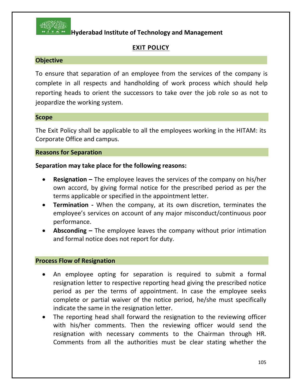

## **EXIT POLICY**

#### **Objective**

To ensure that separation of an employee from the services of the company is complete in all respects and handholding of work process which should help reporting heads to orient the successors to take over the job role so as not to jeopardize the working system.

#### **Scope**

The Exit Policy shall be applicable to all the employees working in the HITAM: its Corporate Office and campus.

#### **Reasons for Separation**

#### **Separation may take place for the following reasons:**

- **Resignation –** The employee leaves the services of the company on his/her own accord, by giving formal notice for the prescribed period as per the terms applicable or specified in the appointment letter.
- **Termination -** When the company, at its own discretion, terminates the employee's services on account of any major misconduct/continuous poor performance.
- **Absconding –** The employee leaves the company without prior intimation and formal notice does not report for duty.

#### **Process Flow of Resignation**

- An employee opting for separation is required to submit a formal resignation letter to respective reporting head giving the prescribed notice period as per the terms of appointment. In case the employee seeks complete or partial waiver of the notice period, he/she must specifically indicate the same in the resignation letter.
- The reporting head shall forward the resignation to the reviewing officer with his/her comments. Then the reviewing officer would send the resignation with necessary comments to the Chairman through HR. Comments from all the authorities must be clear stating whether the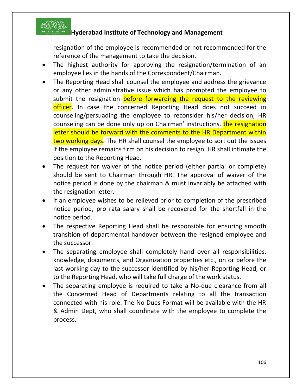

resignation of the employee is recommended or not recommended for the reference of the management to take the decision.

- The highest authority for approving the resignation/termination of an employee lies in the hands of the Correspondent/Chairman.
- The Reporting Head shall counsel the employee and address the grievance or any other administrative issue which has prompted the employee to submit the resignation **before forwarding the request to the reviewing** officer. In case the concerned Reporting Head does not succeed in counseling/persuading the employee to reconsider his/her decision, HR counseling can be done only up on Chairman' instructions. **the resignation** letter should be forward with the comments to the HR Department within two working days. The HR shall counsel the employee to sort out the issues if the employee remains firm on his decision to resign. HR shall intimate the position to the Reporting Head.
- The request for waiver of the notice period (either partial or complete) should be sent to Chairman through HR. The approval of waiver of the notice period is done by the chairman & must invariably be attached with the resignation letter.
- If an employee wishes to be relieved prior to completion of the prescribed notice period, pro rata salary shall be recovered for the shortfall in the notice period.
- The respective Reporting Head shall be responsible for ensuring smooth transition of departmental handover between the resigned employee and the successor.
- The separating employee shall completely hand over all responsibilities, knowledge, documents, and Organization properties etc., on or before the last working day to the successor identified by his/her Reporting Head, or to the Reporting Head, who will take full charge of the work status.
- The separating employee is required to take a No-due clearance from all the Concerned Head of Departments relating to all the transaction connected with his role. The No Dues Format will be available with the HR & Admin Dept, who shall coordinate with the employee to complete the process.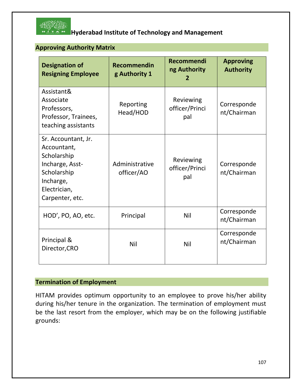

## **Approving Authority Matrix**

| <b>Designation of</b><br><b>Resigning Employee</b>                                                                                  | <b>Recommendin</b><br>g Authority 1 | Recommendi<br>ng Authority<br>2    | <b>Approving</b><br><b>Authority</b> |
|-------------------------------------------------------------------------------------------------------------------------------------|-------------------------------------|------------------------------------|--------------------------------------|
| Assistant&<br>Associate<br>Professors,<br>Professor, Trainees,<br>teaching assistants                                               | Reporting<br>Head/HOD               | Reviewing<br>officer/Princi<br>pal | Corresponde<br>nt/Chairman           |
| Sr. Accountant, Jr.<br>Accountant,<br>Scholarship<br>Incharge, Asst-<br>Scholarship<br>Incharge,<br>Electrician,<br>Carpenter, etc. | Administrative<br>officer/AO        | Reviewing<br>officer/Princi<br>pal | Corresponde<br>nt/Chairman           |
| HOD', PO, AO, etc.                                                                                                                  | Principal                           | Nil                                | Corresponde<br>nt/Chairman           |
| Principal &<br>Director, CRO                                                                                                        | Nil                                 | Nil                                | Corresponde<br>nt/Chairman           |

# **Termination of Employment**

HITAM provides optimum opportunity to an employee to prove his/her ability during his/her tenure in the organization. The termination of employment must be the last resort from the employer, which may be on the following justifiable grounds: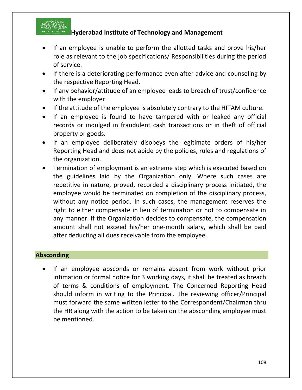

- If an employee is unable to perform the allotted tasks and prove his/her role as relevant to the job specifications/ Responsibilities during the period of service.
- If there is a deteriorating performance even after advice and counseling by the respective Reporting Head.
- If any behavior/attitude of an employee leads to breach of trust/confidence with the employer
- If the attitude of the employee is absolutely contrary to the HITAM culture.
- If an employee is found to have tampered with or leaked any official records or indulged in fraudulent cash transactions or in theft of official property or goods.
- If an employee deliberately disobeys the legitimate orders of his/her Reporting Head and does not abide by the policies, rules and regulations of the organization.
- Termination of employment is an extreme step which is executed based on the guidelines laid by the Organization only. Where such cases are repetitive in nature, proved, recorded a disciplinary process initiated, the employee would be terminated on completion of the disciplinary process, without any notice period. In such cases, the management reserves the right to either compensate in lieu of termination or not to compensate in any manner. If the Organization decides to compensate, the compensation amount shall not exceed his/her one-month salary, which shall be paid after deducting all dues receivable from the employee.

#### **Absconding**

If an employee absconds or remains absent from work without prior intimation or formal notice for 3 working days, it shall be treated as breach of terms & conditions of employment. The Concerned Reporting Head should inform in writing to the Principal. The reviewing officer/Principal must forward the same written letter to the Correspondent/Chairman thru the HR along with the action to be taken on the absconding employee must be mentioned.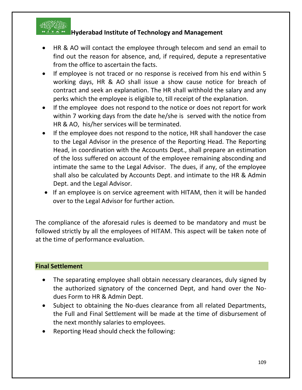

# **Hyderabad Institute of Technology and Management**

- HR & AO will contact the employee through telecom and send an email to find out the reason for absence, and, if required, depute a representative from the office to ascertain the facts.
- If employee is not traced or no response is received from his end within 5 working days, HR & AO shall issue a show cause notice for breach of contract and seek an explanation. The HR shall withhold the salary and any perks which the employee is eligible to, till receipt of the explanation.
- If the employee does not respond to the notice or does not report for work within 7 working days from the date he/she is served with the notice from HR & AO, his/her services will be terminated.
- If the employee does not respond to the notice, HR shall handover the case to the Legal Advisor in the presence of the Reporting Head. The Reporting Head, in coordination with the Accounts Dept., shall prepare an estimation of the loss suffered on account of the employee remaining absconding and intimate the same to the Legal Advisor. The dues, if any, of the employee shall also be calculated by Accounts Dept. and intimate to the HR & Admin Dept. and the Legal Advisor.
- If an employee is on service agreement with HITAM, then it will be handed over to the Legal Advisor for further action.

The compliance of the aforesaid rules is deemed to be mandatory and must be followed strictly by all the employees of HITAM. This aspect will be taken note of at the time of performance evaluation.

## **Final Settlement**

- The separating employee shall obtain necessary clearances, duly signed by the authorized signatory of the concerned Dept, and hand over the Nodues Form to HR & Admin Dept.
- Subject to obtaining the No-dues clearance from all related Departments, the Full and Final Settlement will be made at the time of disbursement of the next monthly salaries to employees.
- Reporting Head should check the following: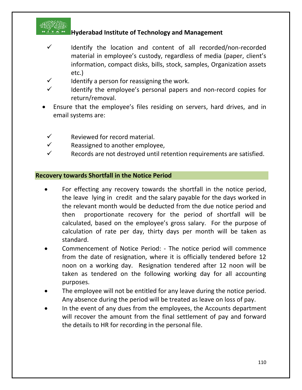

# **Hyderabad Institute of Technology and Management**

- $\checkmark$  Identify the location and content of all recorded/non-recorded material in employee's custody, regardless of media (paper, client's information, compact disks, bills, stock, samples, Organization assets etc.)
- $\checkmark$  Identify a person for reassigning the work.
- Identify the employee's personal papers and non-record copies for return/removal.
- Ensure that the employee's files residing on servers, hard drives, and in email systems are:
- $\checkmark$  Reviewed for record material.
- $\checkmark$  Reassigned to another employee,
- $\checkmark$  Records are not destroyed until retention requirements are satisfied.

### **Recovery towards Shortfall in the Notice Period**

- For effecting any recovery towards the shortfall in the notice period, the leave lying in credit and the salary payable for the days worked in the relevant month would be deducted from the due notice period and then proportionate recovery for the period of shortfall will be calculated, based on the employee's gross salary. For the purpose of calculation of rate per day, thirty days per month will be taken as standard.
- Commencement of Notice Period: The notice period will commence from the date of resignation, where it is officially tendered before 12 noon on a working day. Resignation tendered after 12 noon will be taken as tendered on the following working day for all accounting purposes.
- The employee will not be entitled for any leave during the notice period. Any absence during the period will be treated as leave on loss of pay.
- In the event of any dues from the employees, the Accounts department will recover the amount from the final settlement of pay and forward the details to HR for recording in the personal file.